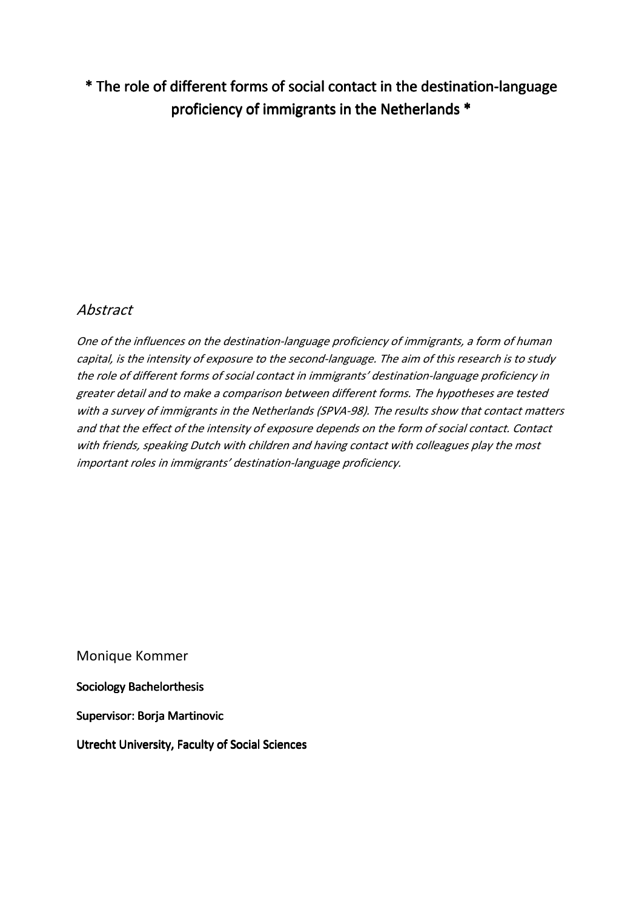# \* The role of different forms of social contact in the destination-language proficiency of immigrants in the Netherlands \*

# Abstract

One of the influences on the destination-language proficiency of immigrants, a form of human capital, is the intensity of exposure to the second-language. The aim of this research is to study the role of different forms of social contact in immigrants' destination-language proficiency in greater detail and to make a comparison between different forms. The hypotheses are tested with a survey of immigrants in the Netherlands (SPVA-98). The results show that contact matters and that the effect of the intensity of exposure depends on the form of social contact. Contact with friends, speaking Dutch with children and having contact with colleagues play the most important roles in immigrants' destination-language proficiency.

Monique Kommer

Sociology Bachelorthesis

Supervisor: Borja Martinovic

Utrecht University, Faculty of Social Sciences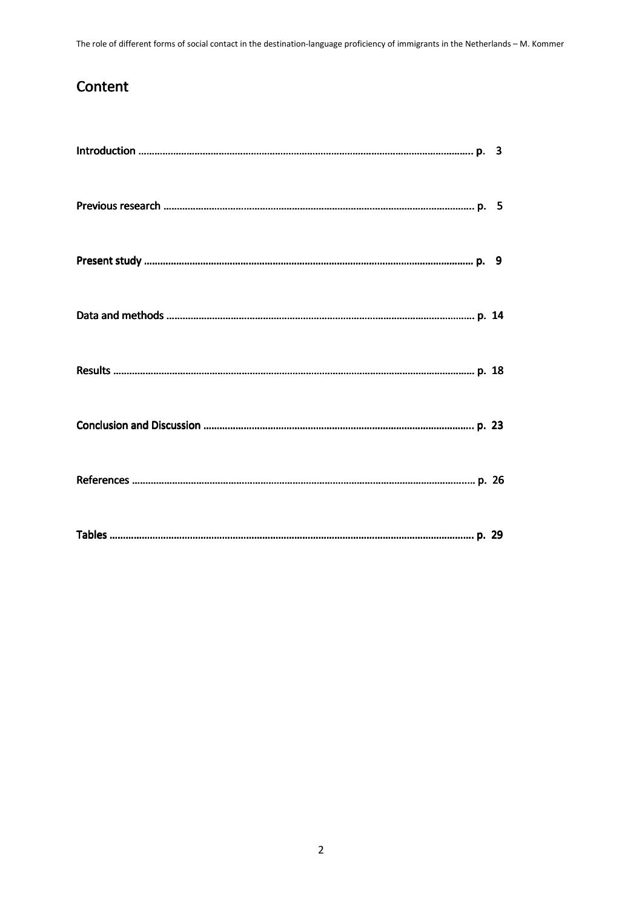# Content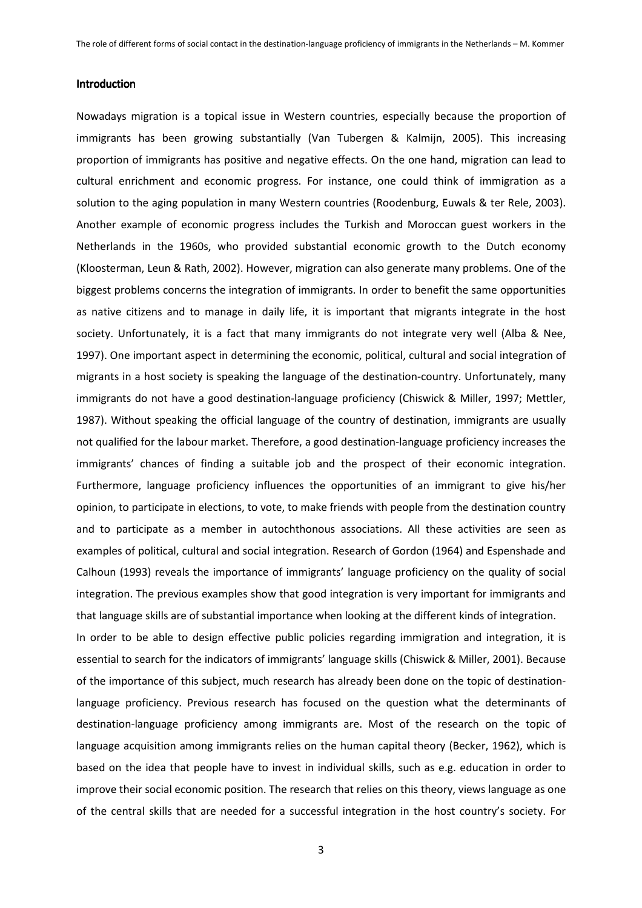### Introduction

Nowadays migration is a topical issue in Western countries, especially because the proportion of immigrants has been growing substantially (Van Tubergen & Kalmijn, 2005). This increasing proportion of immigrants has positive and negative effects. On the one hand, migration can lead to cultural enrichment and economic progress. For instance, one could think of immigration as a solution to the aging population in many Western countries (Roodenburg, Euwals & ter Rele, 2003). Another example of economic progress includes the Turkish and Moroccan guest workers in the Netherlands in the 1960s, who provided substantial economic growth to the Dutch economy (Kloosterman, Leun & Rath, 2002). However, migration can also generate many problems. One of the biggest problems concerns the integration of immigrants. In order to benefit the same opportunities as native citizens and to manage in daily life, it is important that migrants integrate in the host society. Unfortunately, it is a fact that many immigrants do not integrate very well (Alba & Nee, 1997). One important aspect in determining the economic, political, cultural and social integration of migrants in a host society is speaking the language of the destination-country. Unfortunately, many immigrants do not have a good destination-language proficiency (Chiswick & Miller, 1997; Mettler, 1987). Without speaking the official language of the country of destination, immigrants are usually not qualified for the labour market. Therefore, a good destination-language proficiency increases the immigrants' chances of finding a suitable job and the prospect of their economic integration. Furthermore, language proficiency influences the opportunities of an immigrant to give his/her opinion, to participate in elections, to vote, to make friends with people from the destination country and to participate as a member in autochthonous associations. All these activities are seen as examples of political, cultural and social integration. Research of Gordon (1964) and Espenshade and Calhoun (1993) reveals the importance of immigrants' language proficiency on the quality of social integration. The previous examples show that good integration is very important for immigrants and that language skills are of substantial importance when looking at the different kinds of integration.

In order to be able to design effective public policies regarding immigration and integration, it is essential to search for the indicators of immigrants' language skills (Chiswick & Miller, 2001). Because of the importance of this subject, much research has already been done on the topic of destinationlanguage proficiency. Previous research has focused on the question what the determinants of destination-language proficiency among immigrants are. Most of the research on the topic of language acquisition among immigrants relies on the human capital theory (Becker, 1962), which is based on the idea that people have to invest in individual skills, such as e.g. education in order to improve their social economic position. The research that relies on this theory, views language as one of the central skills that are needed for a successful integration in the host country's society. For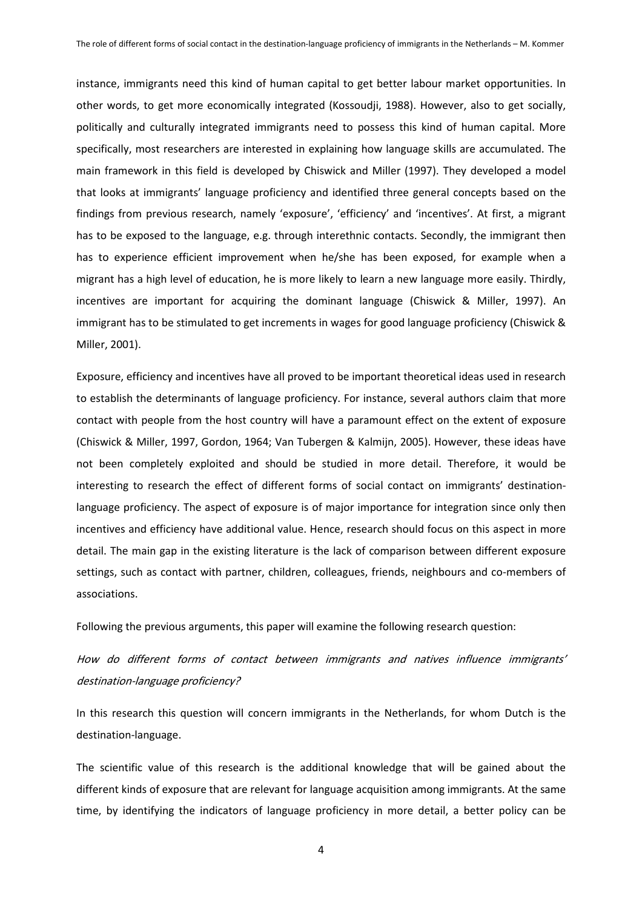instance, immigrants need this kind of human capital to get better labour market opportunities. In other words, to get more economically integrated (Kossoudji, 1988). However, also to get socially, politically and culturally integrated immigrants need to possess this kind of human capital. More specifically, most researchers are interested in explaining how language skills are accumulated. The main framework in this field is developed by Chiswick and Miller (1997). They developed a model that looks at immigrants' language proficiency and identified three general concepts based on the findings from previous research, namely 'exposure', 'efficiency' and 'incentives'. At first, a migrant has to be exposed to the language, e.g. through interethnic contacts. Secondly, the immigrant then has to experience efficient improvement when he/she has been exposed, for example when a migrant has a high level of education, he is more likely to learn a new language more easily. Thirdly, incentives are important for acquiring the dominant language (Chiswick & Miller, 1997). An immigrant has to be stimulated to get increments in wages for good language proficiency (Chiswick & Miller, 2001).

Exposure, efficiency and incentives have all proved to be important theoretical ideas used in research to establish the determinants of language proficiency. For instance, several authors claim that more contact with people from the host country will have a paramount effect on the extent of exposure (Chiswick & Miller, 1997, Gordon, 1964; Van Tubergen & Kalmijn, 2005). However, these ideas have not been completely exploited and should be studied in more detail. Therefore, it would be interesting to research the effect of different forms of social contact on immigrants' destinationlanguage proficiency. The aspect of exposure is of major importance for integration since only then incentives and efficiency have additional value. Hence, research should focus on this aspect in more detail. The main gap in the existing literature is the lack of comparison between different exposure settings, such as contact with partner, children, colleagues, friends, neighbours and co-members of associations.

Following the previous arguments, this paper will examine the following research question:

# How do different forms of contact between immigrants and natives influence immigrants' destination-language proficiency?

In this research this question will concern immigrants in the Netherlands, for whom Dutch is the destination-language.

The scientific value of this research is the additional knowledge that will be gained about the different kinds of exposure that are relevant for language acquisition among immigrants. At the same time, by identifying the indicators of language proficiency in more detail, a better policy can be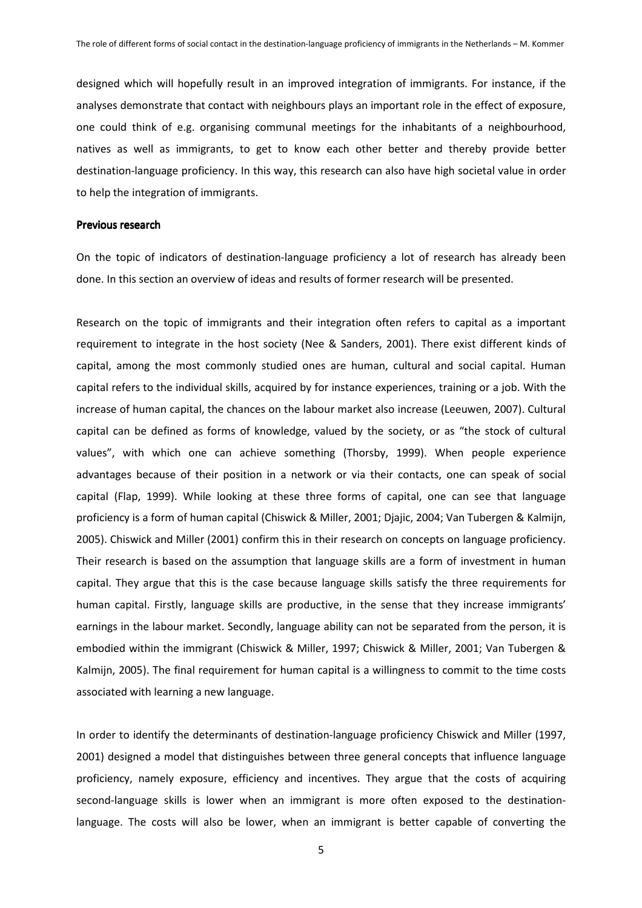designed which will hopefully result in an improved integration of immigrants. For instance, if the analyses demonstrate that contact with neighbours plays an important role in the effect of exposure, one could think of e.g. organising communal meetings for the inhabitants of a neighbourhood, natives as well as immigrants, to get to know each other better and thereby provide better destination-language proficiency. In this way, this research can also have high societal value in order to help the integration of immigrants.

### Previous research

On the topic of indicators of destination-language proficiency a lot of research has already been done. In this section an overview of ideas and results of former research will be presented.

Research on the topic of immigrants and their integration often refers to capital as a important requirement to integrate in the host society (Nee & Sanders, 2001). There exist different kinds of capital, among the most commonly studied ones are human, cultural and social capital. Human capital refers to the individual skills, acquired by for instance experiences, training or a job. With the increase of human capital, the chances on the labour market also increase (Leeuwen, 2007). Cultural capital can be defined as forms of knowledge, valued by the society, or as "the stock of cultural values", with which one can achieve something (Thorsby, 1999). When people experience advantages because of their position in a network or via their contacts, one can speak of social capital (Flap, 1999). While looking at these three forms of capital, one can see that language proficiency is a form of human capital (Chiswick & Miller, 2001; Djajic, 2004; Van Tubergen & Kalmijn, 2005). Chiswick and Miller (2001) confirm this in their research on concepts on language proficiency. Their research is based on the assumption that language skills are a form of investment in human capital. They argue that this is the case because language skills satisfy the three requirements for human capital. Firstly, language skills are productive, in the sense that they increase immigrants' earnings in the labour market. Secondly, language ability can not be separated from the person, it is embodied within the immigrant (Chiswick & Miller, 1997; Chiswick & Miller, 2001; Van Tubergen & Kalmijn, 2005). The final requirement for human capital is a willingness to commit to the time costs associated with learning a new language.

In order to identify the determinants of destination-language proficiency Chiswick and Miller (1997, 2001) designed a model that distinguishes between three general concepts that influence language proficiency, namely exposure, efficiency and incentives. They argue that the costs of acquiring second-language skills is lower when an immigrant is more often exposed to the destinationlanguage. The costs will also be lower, when an immigrant is better capable of converting the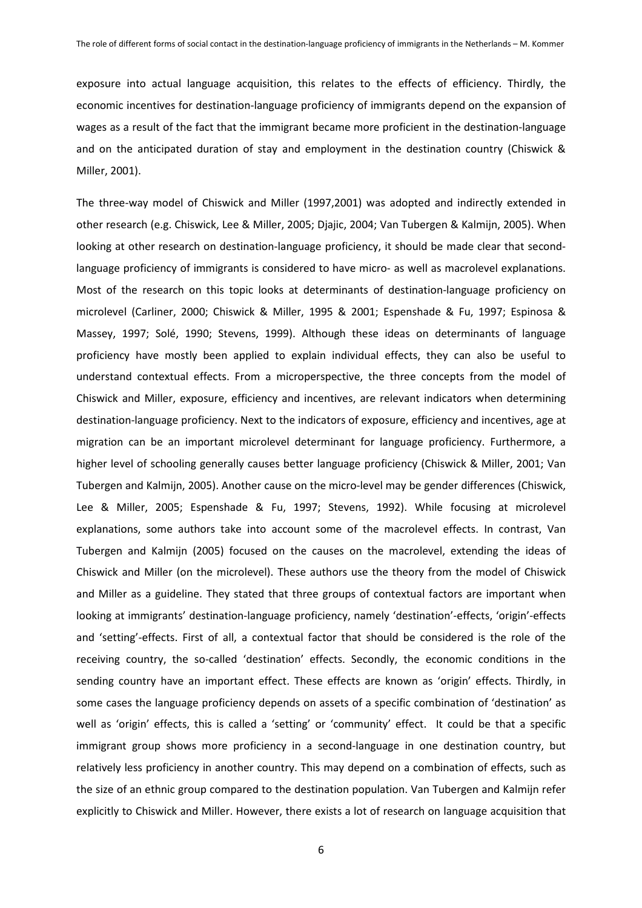exposure into actual language acquisition, this relates to the effects of efficiency. Thirdly, the economic incentives for destination-language proficiency of immigrants depend on the expansion of wages as a result of the fact that the immigrant became more proficient in the destination-language and on the anticipated duration of stay and employment in the destination country (Chiswick & Miller, 2001).

The three-way model of Chiswick and Miller (1997,2001) was adopted and indirectly extended in other research (e.g. Chiswick, Lee & Miller, 2005; Djajic, 2004; Van Tubergen & Kalmijn, 2005). When looking at other research on destination-language proficiency, it should be made clear that secondlanguage proficiency of immigrants is considered to have micro- as well as macrolevel explanations. Most of the research on this topic looks at determinants of destination-language proficiency on microlevel (Carliner, 2000; Chiswick & Miller, 1995 & 2001; Espenshade & Fu, 1997; Espinosa & Massey, 1997; Solé, 1990; Stevens, 1999). Although these ideas on determinants of language proficiency have mostly been applied to explain individual effects, they can also be useful to understand contextual effects. From a microperspective, the three concepts from the model of Chiswick and Miller, exposure, efficiency and incentives, are relevant indicators when determining destination-language proficiency. Next to the indicators of exposure, efficiency and incentives, age at migration can be an important microlevel determinant for language proficiency. Furthermore, a higher level of schooling generally causes better language proficiency (Chiswick & Miller, 2001; Van Tubergen and Kalmijn, 2005). Another cause on the micro-level may be gender differences (Chiswick, Lee & Miller, 2005; Espenshade & Fu, 1997; Stevens, 1992). While focusing at microlevel explanations, some authors take into account some of the macrolevel effects. In contrast, Van Tubergen and Kalmijn (2005) focused on the causes on the macrolevel, extending the ideas of Chiswick and Miller (on the microlevel). These authors use the theory from the model of Chiswick and Miller as a guideline. They stated that three groups of contextual factors are important when looking at immigrants' destination-language proficiency, namely 'destination'-effects, 'origin'-effects and 'setting'-effects. First of all, a contextual factor that should be considered is the role of the receiving country, the so-called 'destination' effects. Secondly, the economic conditions in the sending country have an important effect. These effects are known as 'origin' effects. Thirdly, in some cases the language proficiency depends on assets of a specific combination of 'destination' as well as 'origin' effects, this is called a 'setting' or 'community' effect. It could be that a specific immigrant group shows more proficiency in a second-language in one destination country, but relatively less proficiency in another country. This may depend on a combination of effects, such as the size of an ethnic group compared to the destination population. Van Tubergen and Kalmijn refer explicitly to Chiswick and Miller. However, there exists a lot of research on language acquisition that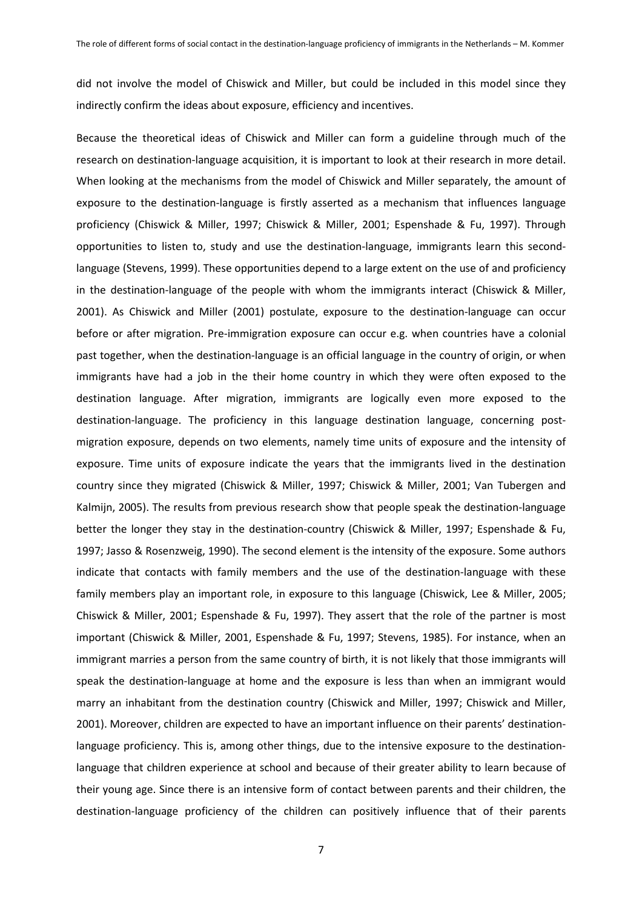did not involve the model of Chiswick and Miller, but could be included in this model since they indirectly confirm the ideas about exposure, efficiency and incentives.

Because the theoretical ideas of Chiswick and Miller can form a guideline through much of the research on destination-language acquisition, it is important to look at their research in more detail. When looking at the mechanisms from the model of Chiswick and Miller separately, the amount of exposure to the destination-language is firstly asserted as a mechanism that influences language proficiency (Chiswick & Miller, 1997; Chiswick & Miller, 2001; Espenshade & Fu, 1997). Through opportunities to listen to, study and use the destination-language, immigrants learn this secondlanguage (Stevens, 1999). These opportunities depend to a large extent on the use of and proficiency in the destination-language of the people with whom the immigrants interact (Chiswick & Miller, 2001). As Chiswick and Miller (2001) postulate, exposure to the destination-language can occur before or after migration. Pre-immigration exposure can occur e.g. when countries have a colonial past together, when the destination-language is an official language in the country of origin, or when immigrants have had a job in the their home country in which they were often exposed to the destination language. After migration, immigrants are logically even more exposed to the destination-language. The proficiency in this language destination language, concerning postmigration exposure, depends on two elements, namely time units of exposure and the intensity of exposure. Time units of exposure indicate the years that the immigrants lived in the destination country since they migrated (Chiswick & Miller, 1997; Chiswick & Miller, 2001; Van Tubergen and Kalmijn, 2005). The results from previous research show that people speak the destination-language better the longer they stay in the destination-country (Chiswick & Miller, 1997; Espenshade & Fu, 1997; Jasso & Rosenzweig, 1990). The second element is the intensity of the exposure. Some authors indicate that contacts with family members and the use of the destination-language with these family members play an important role, in exposure to this language (Chiswick, Lee & Miller, 2005; Chiswick & Miller, 2001; Espenshade & Fu, 1997). They assert that the role of the partner is most important (Chiswick & Miller, 2001, Espenshade & Fu, 1997; Stevens, 1985). For instance, when an immigrant marries a person from the same country of birth, it is not likely that those immigrants will speak the destination-language at home and the exposure is less than when an immigrant would marry an inhabitant from the destination country (Chiswick and Miller, 1997; Chiswick and Miller, 2001). Moreover, children are expected to have an important influence on their parents' destinationlanguage proficiency. This is, among other things, due to the intensive exposure to the destinationlanguage that children experience at school and because of their greater ability to learn because of their young age. Since there is an intensive form of contact between parents and their children, the destination-language proficiency of the children can positively influence that of their parents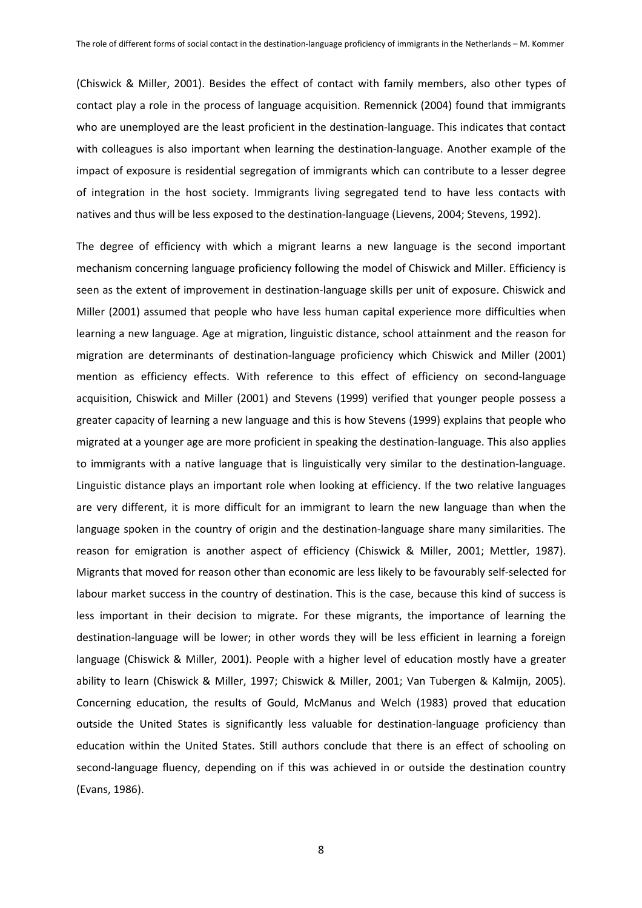(Chiswick & Miller, 2001). Besides the effect of contact with family members, also other types of contact play a role in the process of language acquisition. Remennick (2004) found that immigrants who are unemployed are the least proficient in the destination-language. This indicates that contact with colleagues is also important when learning the destination-language. Another example of the impact of exposure is residential segregation of immigrants which can contribute to a lesser degree of integration in the host society. Immigrants living segregated tend to have less contacts with natives and thus will be less exposed to the destination-language (Lievens, 2004; Stevens, 1992).

The degree of efficiency with which a migrant learns a new language is the second important mechanism concerning language proficiency following the model of Chiswick and Miller. Efficiency is seen as the extent of improvement in destination-language skills per unit of exposure. Chiswick and Miller (2001) assumed that people who have less human capital experience more difficulties when learning a new language. Age at migration, linguistic distance, school attainment and the reason for migration are determinants of destination-language proficiency which Chiswick and Miller (2001) mention as efficiency effects. With reference to this effect of efficiency on second-language acquisition, Chiswick and Miller (2001) and Stevens (1999) verified that younger people possess a greater capacity of learning a new language and this is how Stevens (1999) explains that people who migrated at a younger age are more proficient in speaking the destination-language. This also applies to immigrants with a native language that is linguistically very similar to the destination-language. Linguistic distance plays an important role when looking at efficiency. If the two relative languages are very different, it is more difficult for an immigrant to learn the new language than when the language spoken in the country of origin and the destination-language share many similarities. The reason for emigration is another aspect of efficiency (Chiswick & Miller, 2001; Mettler, 1987). Migrants that moved for reason other than economic are less likely to be favourably self-selected for labour market success in the country of destination. This is the case, because this kind of success is less important in their decision to migrate. For these migrants, the importance of learning the destination-language will be lower; in other words they will be less efficient in learning a foreign language (Chiswick & Miller, 2001). People with a higher level of education mostly have a greater ability to learn (Chiswick & Miller, 1997; Chiswick & Miller, 2001; Van Tubergen & Kalmijn, 2005). Concerning education, the results of Gould, McManus and Welch (1983) proved that education outside the United States is significantly less valuable for destination-language proficiency than education within the United States. Still authors conclude that there is an effect of schooling on second-language fluency, depending on if this was achieved in or outside the destination country (Evans, 1986).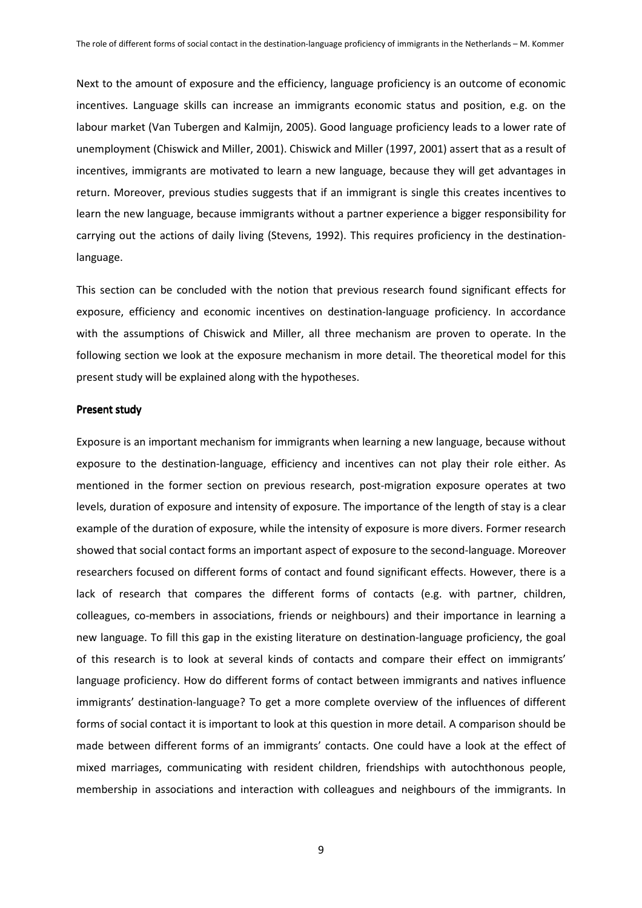Next to the amount of exposure and the efficiency, language proficiency is an outcome of economic incentives. Language skills can increase an immigrants economic status and position, e.g. on the labour market (Van Tubergen and Kalmijn, 2005). Good language proficiency leads to a lower rate of unemployment (Chiswick and Miller, 2001). Chiswick and Miller (1997, 2001) assert that as a result of incentives, immigrants are motivated to learn a new language, because they will get advantages in return. Moreover, previous studies suggests that if an immigrant is single this creates incentives to learn the new language, because immigrants without a partner experience a bigger responsibility for carrying out the actions of daily living (Stevens, 1992). This requires proficiency in the destinationlanguage.

This section can be concluded with the notion that previous research found significant effects for exposure, efficiency and economic incentives on destination-language proficiency. In accordance with the assumptions of Chiswick and Miller, all three mechanism are proven to operate. In the following section we look at the exposure mechanism in more detail. The theoretical model for this present study will be explained along with the hypotheses.

#### Present study

Exposure is an important mechanism for immigrants when learning a new language, because without exposure to the destination-language, efficiency and incentives can not play their role either. As mentioned in the former section on previous research, post-migration exposure operates at two levels, duration of exposure and intensity of exposure. The importance of the length of stay is a clear example of the duration of exposure, while the intensity of exposure is more divers. Former research showed that social contact forms an important aspect of exposure to the second-language. Moreover researchers focused on different forms of contact and found significant effects. However, there is a lack of research that compares the different forms of contacts (e.g. with partner, children, colleagues, co-members in associations, friends or neighbours) and their importance in learning a new language. To fill this gap in the existing literature on destination-language proficiency, the goal of this research is to look at several kinds of contacts and compare their effect on immigrants' language proficiency. How do different forms of contact between immigrants and natives influence immigrants' destination-language? To get a more complete overview of the influences of different forms of social contact it is important to look at this question in more detail. A comparison should be made between different forms of an immigrants' contacts. One could have a look at the effect of mixed marriages, communicating with resident children, friendships with autochthonous people, membership in associations and interaction with colleagues and neighbours of the immigrants. In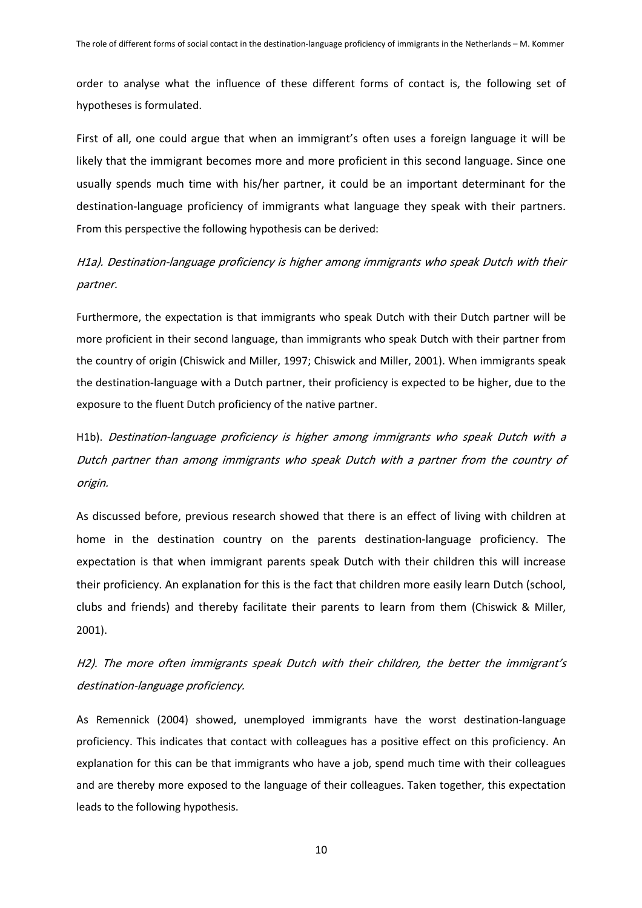order to analyse what the influence of these different forms of contact is, the following set of hypotheses is formulated.

First of all, one could argue that when an immigrant's often uses a foreign language it will be likely that the immigrant becomes more and more proficient in this second language. Since one usually spends much time with his/her partner, it could be an important determinant for the destination-language proficiency of immigrants what language they speak with their partners. From this perspective the following hypothesis can be derived:

# H1a). Destination-language proficiency is higher among immigrants who speak Dutch with their partner.

Furthermore, the expectation is that immigrants who speak Dutch with their Dutch partner will be more proficient in their second language, than immigrants who speak Dutch with their partner from the country of origin (Chiswick and Miller, 1997; Chiswick and Miller, 2001). When immigrants speak the destination-language with a Dutch partner, their proficiency is expected to be higher, due to the exposure to the fluent Dutch proficiency of the native partner.

H1b). Destination-language proficiency is higher among immigrants who speak Dutch with a Dutch partner than among immigrants who speak Dutch with a partner from the country of origin.

As discussed before, previous research showed that there is an effect of living with children at home in the destination country on the parents destination-language proficiency. The expectation is that when immigrant parents speak Dutch with their children this will increase their proficiency. An explanation for this is the fact that children more easily learn Dutch (school, clubs and friends) and thereby facilitate their parents to learn from them (Chiswick & Miller, 2001).

H2). The more often immigrants speak Dutch with their children, the better the immigrant's destination-language proficiency.

As Remennick (2004) showed, unemployed immigrants have the worst destination-language proficiency. This indicates that contact with colleagues has a positive effect on this proficiency. An explanation for this can be that immigrants who have a job, spend much time with their colleagues and are thereby more exposed to the language of their colleagues. Taken together, this expectation leads to the following hypothesis.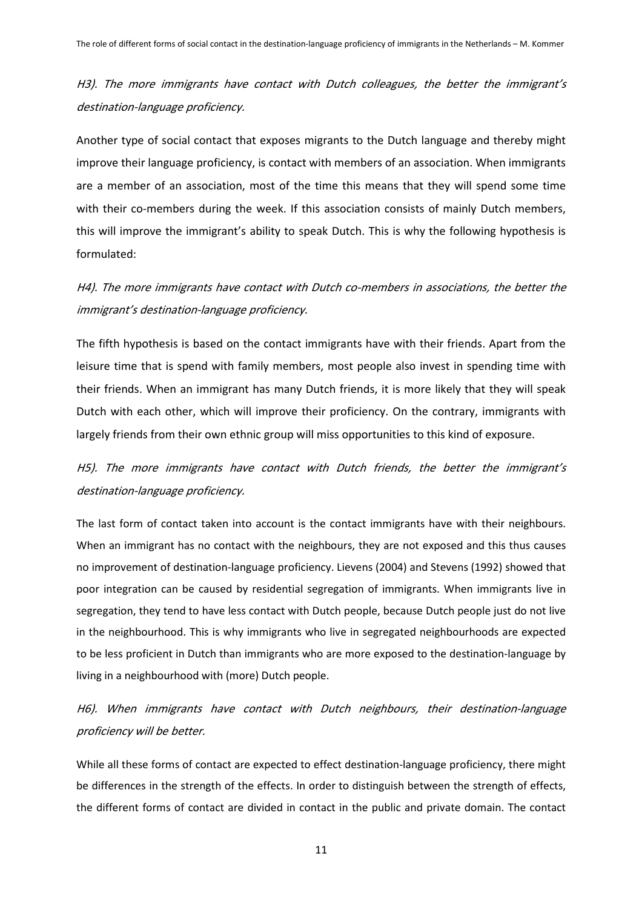H3). The more immigrants have contact with Dutch colleagues, the better the immigrant's destination-language proficiency.

Another type of social contact that exposes migrants to the Dutch language and thereby might improve their language proficiency, is contact with members of an association. When immigrants are a member of an association, most of the time this means that they will spend some time with their co-members during the week. If this association consists of mainly Dutch members, this will improve the immigrant's ability to speak Dutch. This is why the following hypothesis is formulated:

H4). The more immigrants have contact with Dutch co-members in associations, the better the immigrant's destination-language proficiency.

The fifth hypothesis is based on the contact immigrants have with their friends. Apart from the leisure time that is spend with family members, most people also invest in spending time with their friends. When an immigrant has many Dutch friends, it is more likely that they will speak Dutch with each other, which will improve their proficiency. On the contrary, immigrants with largely friends from their own ethnic group will miss opportunities to this kind of exposure.

H5). The more immigrants have contact with Dutch friends, the better the immigrant's destination-language proficiency.

The last form of contact taken into account is the contact immigrants have with their neighbours. When an immigrant has no contact with the neighbours, they are not exposed and this thus causes no improvement of destination-language proficiency. Lievens (2004) and Stevens (1992) showed that poor integration can be caused by residential segregation of immigrants. When immigrants live in segregation, they tend to have less contact with Dutch people, because Dutch people just do not live in the neighbourhood. This is why immigrants who live in segregated neighbourhoods are expected to be less proficient in Dutch than immigrants who are more exposed to the destination-language by living in a neighbourhood with (more) Dutch people.

H6). When immigrants have contact with Dutch neighbours, their destination-language proficiency will be better.

While all these forms of contact are expected to effect destination-language proficiency, there might be differences in the strength of the effects. In order to distinguish between the strength of effects, the different forms of contact are divided in contact in the public and private domain. The contact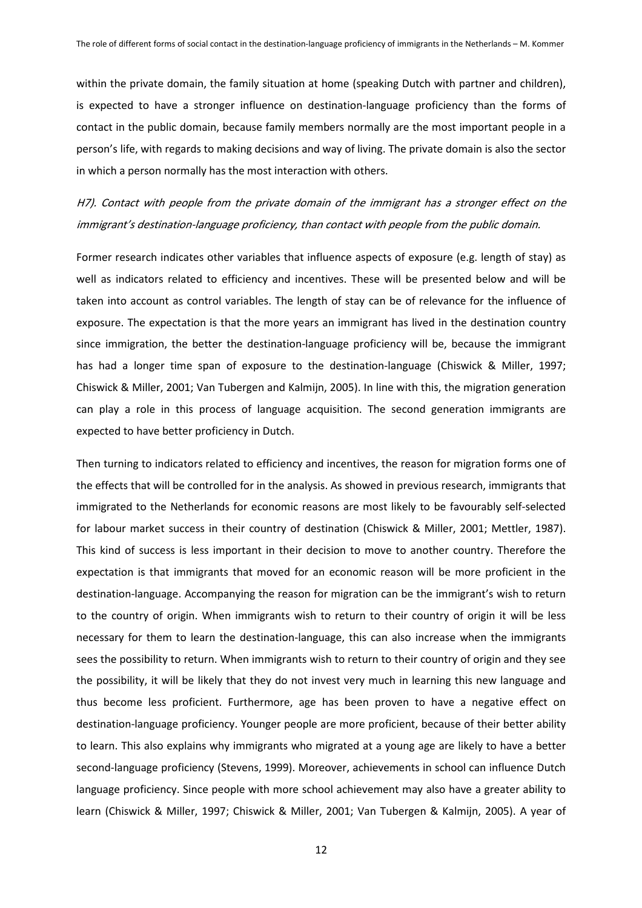within the private domain, the family situation at home (speaking Dutch with partner and children), is expected to have a stronger influence on destination-language proficiency than the forms of contact in the public domain, because family members normally are the most important people in a person's life, with regards to making decisions and way of living. The private domain is also the sector in which a person normally has the most interaction with others.

H7). Contact with people from the private domain of the immigrant has a stronger effect on the immigrant's destination-language proficiency, than contact with people from the public domain.

Former research indicates other variables that influence aspects of exposure (e.g. length of stay) as well as indicators related to efficiency and incentives. These will be presented below and will be taken into account as control variables. The length of stay can be of relevance for the influence of exposure. The expectation is that the more years an immigrant has lived in the destination country since immigration, the better the destination-language proficiency will be, because the immigrant has had a longer time span of exposure to the destination-language (Chiswick & Miller, 1997; Chiswick & Miller, 2001; Van Tubergen and Kalmijn, 2005). In line with this, the migration generation can play a role in this process of language acquisition. The second generation immigrants are expected to have better proficiency in Dutch.

Then turning to indicators related to efficiency and incentives, the reason for migration forms one of the effects that will be controlled for in the analysis. As showed in previous research, immigrants that immigrated to the Netherlands for economic reasons are most likely to be favourably self-selected for labour market success in their country of destination (Chiswick & Miller, 2001; Mettler, 1987). This kind of success is less important in their decision to move to another country. Therefore the expectation is that immigrants that moved for an economic reason will be more proficient in the destination-language. Accompanying the reason for migration can be the immigrant's wish to return to the country of origin. When immigrants wish to return to their country of origin it will be less necessary for them to learn the destination-language, this can also increase when the immigrants sees the possibility to return. When immigrants wish to return to their country of origin and they see the possibility, it will be likely that they do not invest very much in learning this new language and thus become less proficient. Furthermore, age has been proven to have a negative effect on destination-language proficiency. Younger people are more proficient, because of their better ability to learn. This also explains why immigrants who migrated at a young age are likely to have a better second-language proficiency (Stevens, 1999). Moreover, achievements in school can influence Dutch language proficiency. Since people with more school achievement may also have a greater ability to learn (Chiswick & Miller, 1997; Chiswick & Miller, 2001; Van Tubergen & Kalmijn, 2005). A year of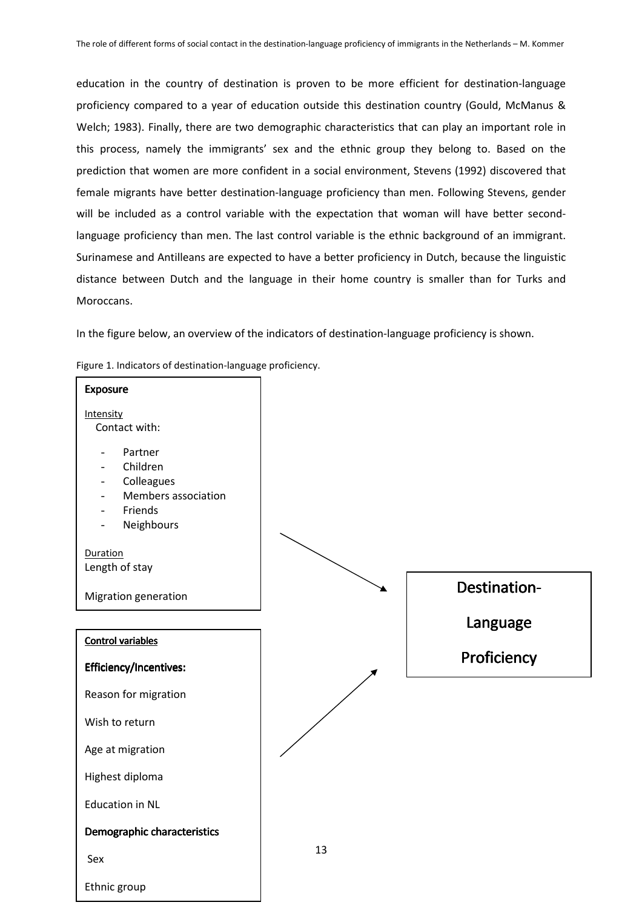education in the country of destination is proven to be more efficient for destination-language proficiency compared to a year of education outside this destination country (Gould, McManus & Welch; 1983). Finally, there are two demographic characteristics that can play an important role in this process, namely the immigrants' sex and the ethnic group they belong to. Based on the prediction that women are more confident in a social environment, Stevens (1992) discovered that female migrants have better destination-language proficiency than men. Following Stevens, gender will be included as a control variable with the expectation that woman will have better secondlanguage proficiency than men. The last control variable is the ethnic background of an immigrant. Surinamese and Antilleans are expected to have a better proficiency in Dutch, because the linguistic distance between Dutch and the language in their home country is smaller than for Turks and Moroccans.

In the figure below, an overview of the indicators of destination-language proficiency is shown.



Figure 1. Indicators of destination-language proficiency.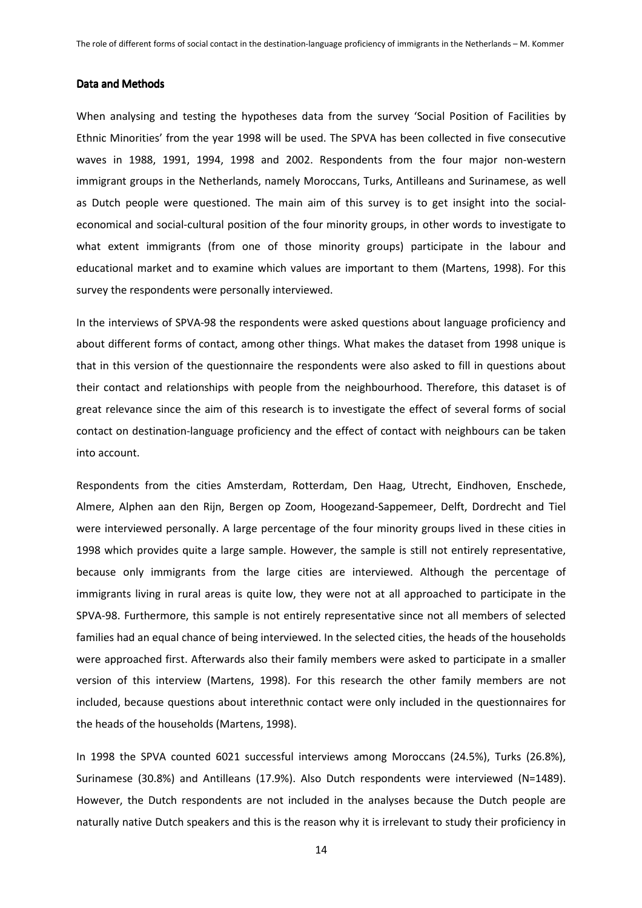#### Data and Methods

When analysing and testing the hypotheses data from the survey 'Social Position of Facilities by Ethnic Minorities' from the year 1998 will be used. The SPVA has been collected in five consecutive waves in 1988, 1991, 1994, 1998 and 2002. Respondents from the four major non-western immigrant groups in the Netherlands, namely Moroccans, Turks, Antilleans and Surinamese, as well as Dutch people were questioned. The main aim of this survey is to get insight into the socialeconomical and social-cultural position of the four minority groups, in other words to investigate to what extent immigrants (from one of those minority groups) participate in the labour and educational market and to examine which values are important to them (Martens, 1998). For this survey the respondents were personally interviewed.

In the interviews of SPVA-98 the respondents were asked questions about language proficiency and about different forms of contact, among other things. What makes the dataset from 1998 unique is that in this version of the questionnaire the respondents were also asked to fill in questions about their contact and relationships with people from the neighbourhood. Therefore, this dataset is of great relevance since the aim of this research is to investigate the effect of several forms of social contact on destination-language proficiency and the effect of contact with neighbours can be taken into account.

Respondents from the cities Amsterdam, Rotterdam, Den Haag, Utrecht, Eindhoven, Enschede, Almere, Alphen aan den Rijn, Bergen op Zoom, Hoogezand-Sappemeer, Delft, Dordrecht and Tiel were interviewed personally. A large percentage of the four minority groups lived in these cities in 1998 which provides quite a large sample. However, the sample is still not entirely representative, because only immigrants from the large cities are interviewed. Although the percentage of immigrants living in rural areas is quite low, they were not at all approached to participate in the SPVA-98. Furthermore, this sample is not entirely representative since not all members of selected families had an equal chance of being interviewed. In the selected cities, the heads of the households were approached first. Afterwards also their family members were asked to participate in a smaller version of this interview (Martens, 1998). For this research the other family members are not included, because questions about interethnic contact were only included in the questionnaires for the heads of the households (Martens, 1998).

In 1998 the SPVA counted 6021 successful interviews among Moroccans (24.5%), Turks (26.8%), Surinamese (30.8%) and Antilleans (17.9%). Also Dutch respondents were interviewed (N=1489). However, the Dutch respondents are not included in the analyses because the Dutch people are naturally native Dutch speakers and this is the reason why it is irrelevant to study their proficiency in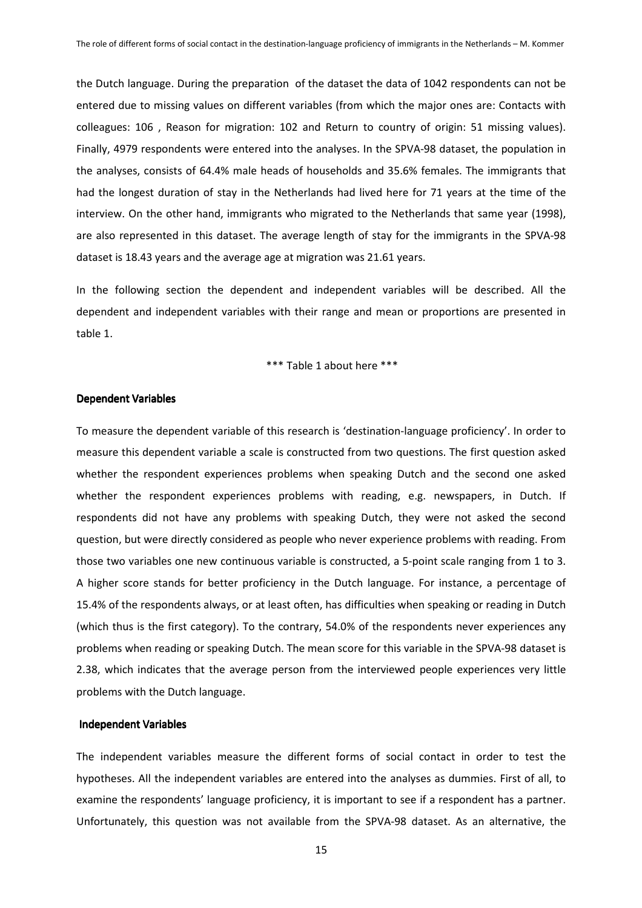the Dutch language. During the preparation of the dataset the data of 1042 respondents can not be entered due to missing values on different variables (from which the major ones are: Contacts with colleagues: 106 , Reason for migration: 102 and Return to country of origin: 51 missing values). Finally, 4979 respondents were entered into the analyses. In the SPVA-98 dataset, the population in the analyses, consists of 64.4% male heads of households and 35.6% females. The immigrants that had the longest duration of stay in the Netherlands had lived here for 71 years at the time of the interview. On the other hand, immigrants who migrated to the Netherlands that same year (1998), are also represented in this dataset. The average length of stay for the immigrants in the SPVA-98 dataset is 18.43 years and the average age at migration was 21.61 years.

In the following section the dependent and independent variables will be described. All the dependent and independent variables with their range and mean or proportions are presented in table 1.

\*\*\* Table 1 about here \*\*\*

### Dependent Variables Dependent Variables

To measure the dependent variable of this research is 'destination-language proficiency'. In order to measure this dependent variable a scale is constructed from two questions. The first question asked whether the respondent experiences problems when speaking Dutch and the second one asked whether the respondent experiences problems with reading, e.g. newspapers, in Dutch. If respondents did not have any problems with speaking Dutch, they were not asked the second question, but were directly considered as people who never experience problems with reading. From those two variables one new continuous variable is constructed, a 5-point scale ranging from 1 to 3. A higher score stands for better proficiency in the Dutch language. For instance, a percentage of 15.4% of the respondents always, or at least often, has difficulties when speaking or reading in Dutch (which thus is the first category). To the contrary, 54.0% of the respondents never experiences any problems when reading or speaking Dutch. The mean score for this variable in the SPVA-98 dataset is 2.38, which indicates that the average person from the interviewed people experiences very little problems with the Dutch language.

# Independent Variables

The independent variables measure the different forms of social contact in order to test the hypotheses. All the independent variables are entered into the analyses as dummies. First of all, to examine the respondents' language proficiency, it is important to see if a respondent has a partner. Unfortunately, this question was not available from the SPVA-98 dataset. As an alternative, the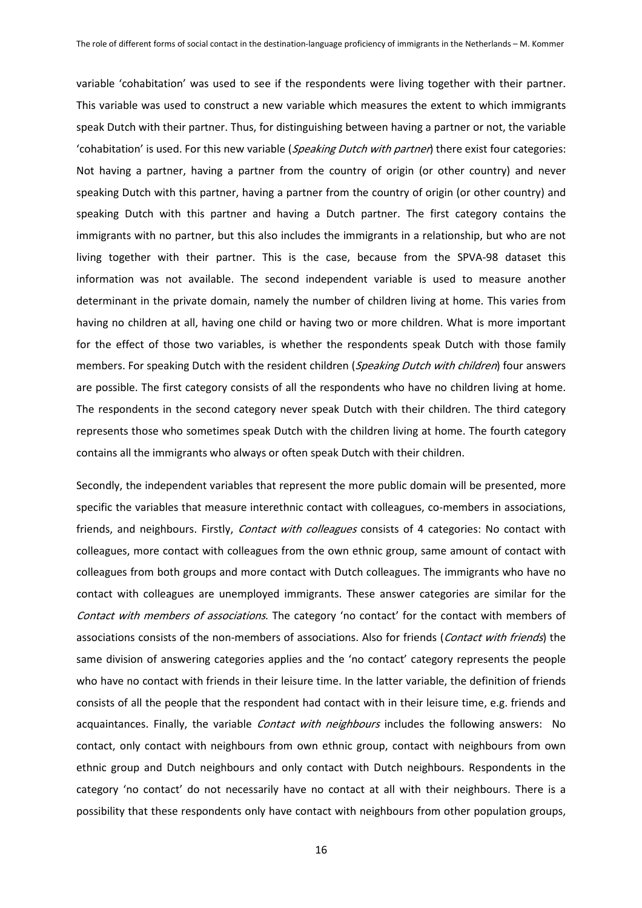variable 'cohabitation' was used to see if the respondents were living together with their partner. This variable was used to construct a new variable which measures the extent to which immigrants speak Dutch with their partner. Thus, for distinguishing between having a partner or not, the variable 'cohabitation' is used. For this new variable (Speaking Dutch with partner) there exist four categories: Not having a partner, having a partner from the country of origin (or other country) and never speaking Dutch with this partner, having a partner from the country of origin (or other country) and speaking Dutch with this partner and having a Dutch partner. The first category contains the immigrants with no partner, but this also includes the immigrants in a relationship, but who are not living together with their partner. This is the case, because from the SPVA-98 dataset this information was not available. The second independent variable is used to measure another determinant in the private domain, namely the number of children living at home. This varies from having no children at all, having one child or having two or more children. What is more important for the effect of those two variables, is whether the respondents speak Dutch with those family members. For speaking Dutch with the resident children (Speaking Dutch with children) four answers are possible. The first category consists of all the respondents who have no children living at home. The respondents in the second category never speak Dutch with their children. The third category represents those who sometimes speak Dutch with the children living at home. The fourth category contains all the immigrants who always or often speak Dutch with their children.

Secondly, the independent variables that represent the more public domain will be presented, more specific the variables that measure interethnic contact with colleagues, co-members in associations, friends, and neighbours. Firstly, Contact with colleagues consists of 4 categories: No contact with colleagues, more contact with colleagues from the own ethnic group, same amount of contact with colleagues from both groups and more contact with Dutch colleagues. The immigrants who have no contact with colleagues are unemployed immigrants. These answer categories are similar for the Contact with members of associations. The category 'no contact' for the contact with members of associations consists of the non-members of associations. Also for friends (Contact with friends) the same division of answering categories applies and the 'no contact' category represents the people who have no contact with friends in their leisure time. In the latter variable, the definition of friends consists of all the people that the respondent had contact with in their leisure time, e.g. friends and acquaintances. Finally, the variable Contact with neighbours includes the following answers: No contact, only contact with neighbours from own ethnic group, contact with neighbours from own ethnic group and Dutch neighbours and only contact with Dutch neighbours. Respondents in the category 'no contact' do not necessarily have no contact at all with their neighbours. There is a possibility that these respondents only have contact with neighbours from other population groups,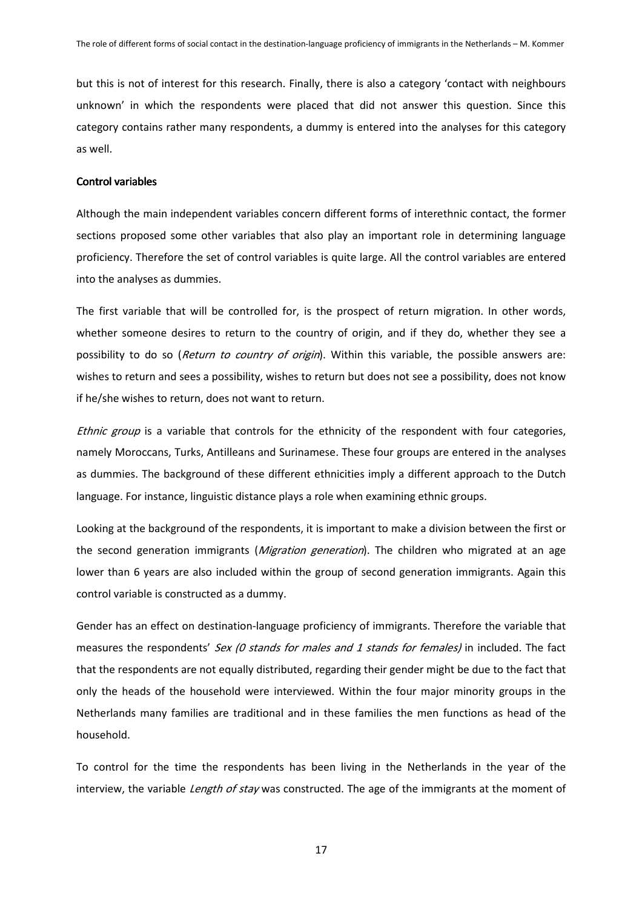but this is not of interest for this research. Finally, there is also a category 'contact with neighbours unknown' in which the respondents were placed that did not answer this question. Since this category contains rather many respondents, a dummy is entered into the analyses for this category as well.

## Control variables

Although the main independent variables concern different forms of interethnic contact, the former sections proposed some other variables that also play an important role in determining language proficiency. Therefore the set of control variables is quite large. All the control variables are entered into the analyses as dummies.

The first variable that will be controlled for, is the prospect of return migration. In other words, whether someone desires to return to the country of origin, and if they do, whether they see a possibility to do so (Return to country of origin). Within this variable, the possible answers are: wishes to return and sees a possibility, wishes to return but does not see a possibility, does not know if he/she wishes to return, does not want to return.

Ethnic group is a variable that controls for the ethnicity of the respondent with four categories, namely Moroccans, Turks, Antilleans and Surinamese. These four groups are entered in the analyses as dummies. The background of these different ethnicities imply a different approach to the Dutch language. For instance, linguistic distance plays a role when examining ethnic groups.

Looking at the background of the respondents, it is important to make a division between the first or the second generation immigrants (*Migration generation*). The children who migrated at an age lower than 6 years are also included within the group of second generation immigrants. Again this control variable is constructed as a dummy.

Gender has an effect on destination-language proficiency of immigrants. Therefore the variable that measures the respondents' Sex (0 stands for males and 1 stands for females) in included. The fact that the respondents are not equally distributed, regarding their gender might be due to the fact that only the heads of the household were interviewed. Within the four major minority groups in the Netherlands many families are traditional and in these families the men functions as head of the household.

To control for the time the respondents has been living in the Netherlands in the year of the interview, the variable *Length of stay* was constructed. The age of the immigrants at the moment of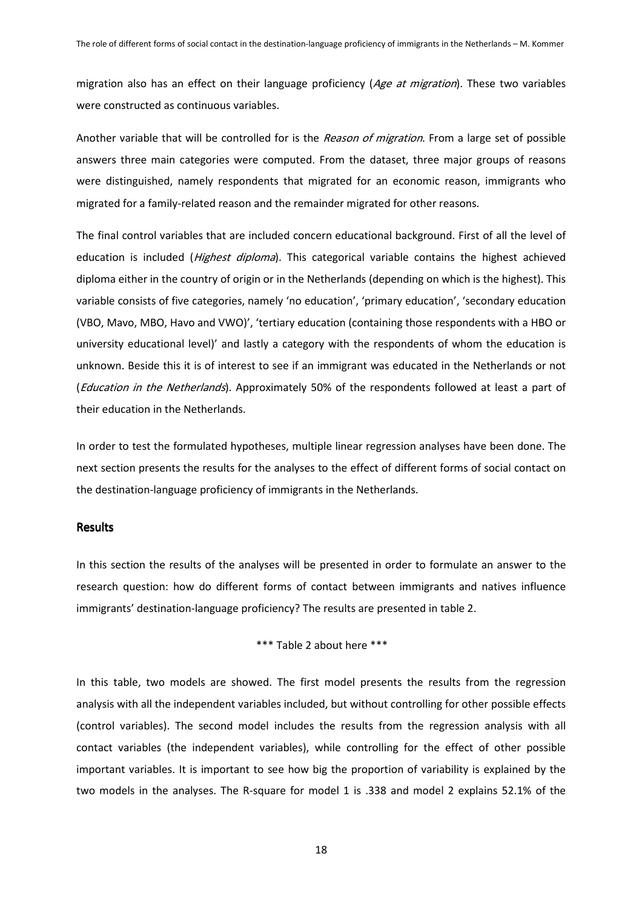migration also has an effect on their language proficiency (Age at migration). These two variables were constructed as continuous variables.

Another variable that will be controlled for is the Reason of migration. From a large set of possible answers three main categories were computed. From the dataset, three major groups of reasons were distinguished, namely respondents that migrated for an economic reason, immigrants who migrated for a family-related reason and the remainder migrated for other reasons.

The final control variables that are included concern educational background. First of all the level of education is included (*Highest diploma*). This categorical variable contains the highest achieved diploma either in the country of origin or in the Netherlands (depending on which is the highest). This variable consists of five categories, namely 'no education', 'primary education', 'secondary education (VBO, Mavo, MBO, Havo and VWO)', 'tertiary education (containing those respondents with a HBO or university educational level)' and lastly a category with the respondents of whom the education is unknown. Beside this it is of interest to see if an immigrant was educated in the Netherlands or not (Education in the Netherlands). Approximately 50% of the respondents followed at least a part of their education in the Netherlands.

In order to test the formulated hypotheses, multiple linear regression analyses have been done. The next section presents the results for the analyses to the effect of different forms of social contact on the destination-language proficiency of immigrants in the Netherlands.

# **Results**

In this section the results of the analyses will be presented in order to formulate an answer to the research question: how do different forms of contact between immigrants and natives influence immigrants' destination-language proficiency? The results are presented in table 2.

# \*\*\* Table 2 about here \*\*\*

In this table, two models are showed. The first model presents the results from the regression analysis with all the independent variables included, but without controlling for other possible effects (control variables). The second model includes the results from the regression analysis with all contact variables (the independent variables), while controlling for the effect of other possible important variables. It is important to see how big the proportion of variability is explained by the two models in the analyses. The R-square for model 1 is .338 and model 2 explains 52.1% of the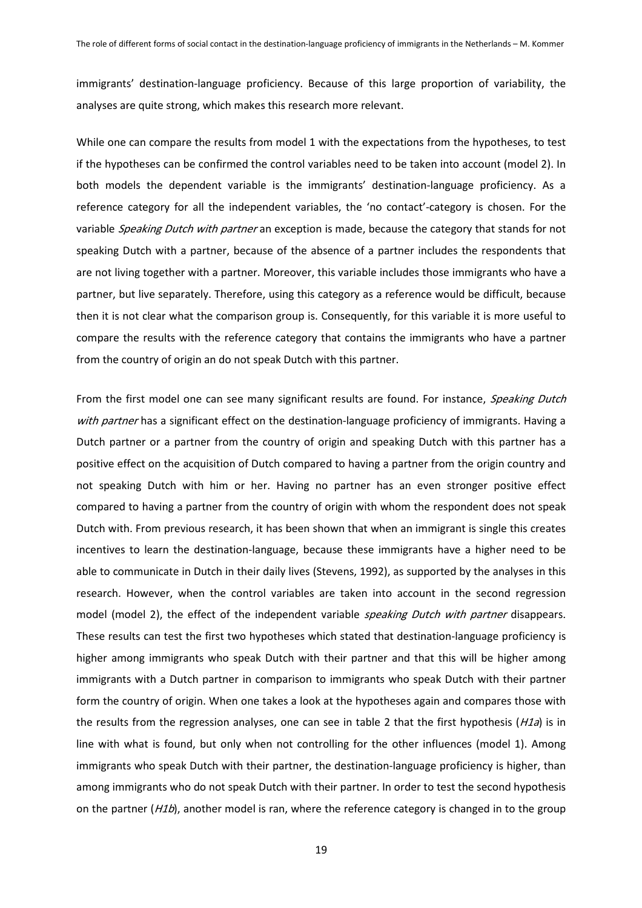immigrants' destination-language proficiency. Because of this large proportion of variability, the analyses are quite strong, which makes this research more relevant.

While one can compare the results from model 1 with the expectations from the hypotheses, to test if the hypotheses can be confirmed the control variables need to be taken into account (model 2). In both models the dependent variable is the immigrants' destination-language proficiency. As a reference category for all the independent variables, the 'no contact'-category is chosen. For the variable Speaking Dutch with partner an exception is made, because the category that stands for not speaking Dutch with a partner, because of the absence of a partner includes the respondents that are not living together with a partner. Moreover, this variable includes those immigrants who have a partner, but live separately. Therefore, using this category as a reference would be difficult, because then it is not clear what the comparison group is. Consequently, for this variable it is more useful to compare the results with the reference category that contains the immigrants who have a partner from the country of origin an do not speak Dutch with this partner.

From the first model one can see many significant results are found. For instance, Speaking Dutch with partner has a significant effect on the destination-language proficiency of immigrants. Having a Dutch partner or a partner from the country of origin and speaking Dutch with this partner has a positive effect on the acquisition of Dutch compared to having a partner from the origin country and not speaking Dutch with him or her. Having no partner has an even stronger positive effect compared to having a partner from the country of origin with whom the respondent does not speak Dutch with. From previous research, it has been shown that when an immigrant is single this creates incentives to learn the destination-language, because these immigrants have a higher need to be able to communicate in Dutch in their daily lives (Stevens, 1992), as supported by the analyses in this research. However, when the control variables are taken into account in the second regression model (model 2), the effect of the independent variable *speaking Dutch with partner* disappears. These results can test the first two hypotheses which stated that destination-language proficiency is higher among immigrants who speak Dutch with their partner and that this will be higher among immigrants with a Dutch partner in comparison to immigrants who speak Dutch with their partner form the country of origin. When one takes a look at the hypotheses again and compares those with the results from the regression analyses, one can see in table 2 that the first hypothesis ( $H1a$ ) is in line with what is found, but only when not controlling for the other influences (model 1). Among immigrants who speak Dutch with their partner, the destination-language proficiency is higher, than among immigrants who do not speak Dutch with their partner. In order to test the second hypothesis on the partner ( $H1b$ ), another model is ran, where the reference category is changed in to the group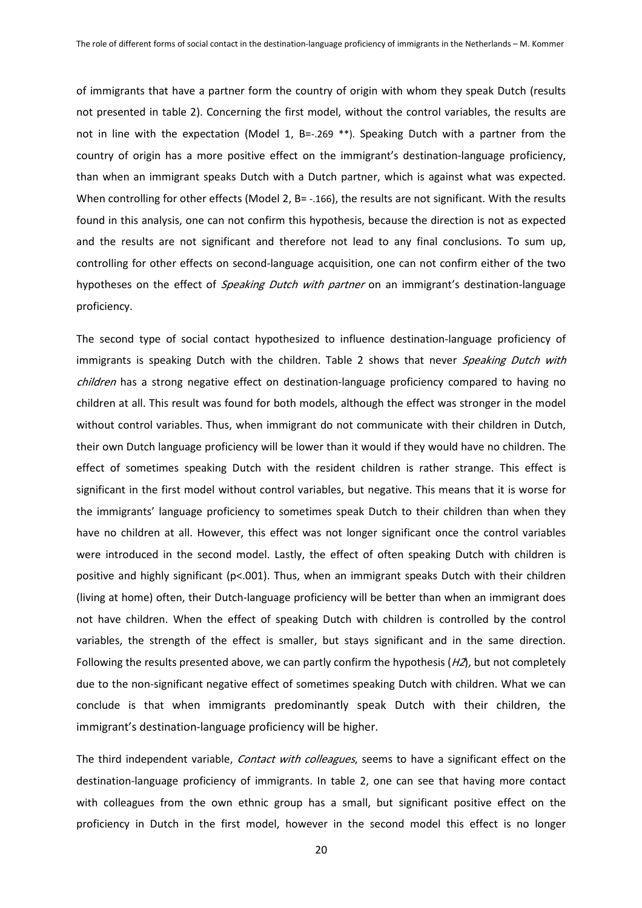of immigrants that have a partner form the country of origin with whom they speak Dutch (results not presented in table 2). Concerning the first model, without the control variables, the results are not in line with the expectation (Model 1, B=-.269 \*\*). Speaking Dutch with a partner from the country of origin has a more positive effect on the immigrant's destination-language proficiency, than when an immigrant speaks Dutch with a Dutch partner, which is against what was expected. When controlling for other effects (Model 2, B= -.166), the results are not significant. With the results found in this analysis, one can not confirm this hypothesis, because the direction is not as expected and the results are not significant and therefore not lead to any final conclusions. To sum up, controlling for other effects on second-language acquisition, one can not confirm either of the two hypotheses on the effect of *Speaking Dutch with partner* on an immigrant's destination-language proficiency.

The second type of social contact hypothesized to influence destination-language proficiency of immigrants is speaking Dutch with the children. Table 2 shows that never Speaking Dutch with children has a strong negative effect on destination-language proficiency compared to having no children at all. This result was found for both models, although the effect was stronger in the model without control variables. Thus, when immigrant do not communicate with their children in Dutch, their own Dutch language proficiency will be lower than it would if they would have no children. The effect of sometimes speaking Dutch with the resident children is rather strange. This effect is significant in the first model without control variables, but negative. This means that it is worse for the immigrants' language proficiency to sometimes speak Dutch to their children than when they have no children at all. However, this effect was not longer significant once the control variables were introduced in the second model. Lastly, the effect of often speaking Dutch with children is positive and highly significant (p<.001). Thus, when an immigrant speaks Dutch with their children (living at home) often, their Dutch-language proficiency will be better than when an immigrant does not have children. When the effect of speaking Dutch with children is controlled by the control variables, the strength of the effect is smaller, but stays significant and in the same direction. Following the results presented above, we can partly confirm the hypothesis  $(H2)$ , but not completely due to the non-significant negative effect of sometimes speaking Dutch with children. What we can conclude is that when immigrants predominantly speak Dutch with their children, the immigrant's destination-language proficiency will be higher.

The third independent variable, Contact with colleagues, seems to have a significant effect on the destination-language proficiency of immigrants. In table 2, one can see that having more contact with colleagues from the own ethnic group has a small, but significant positive effect on the proficiency in Dutch in the first model, however in the second model this effect is no longer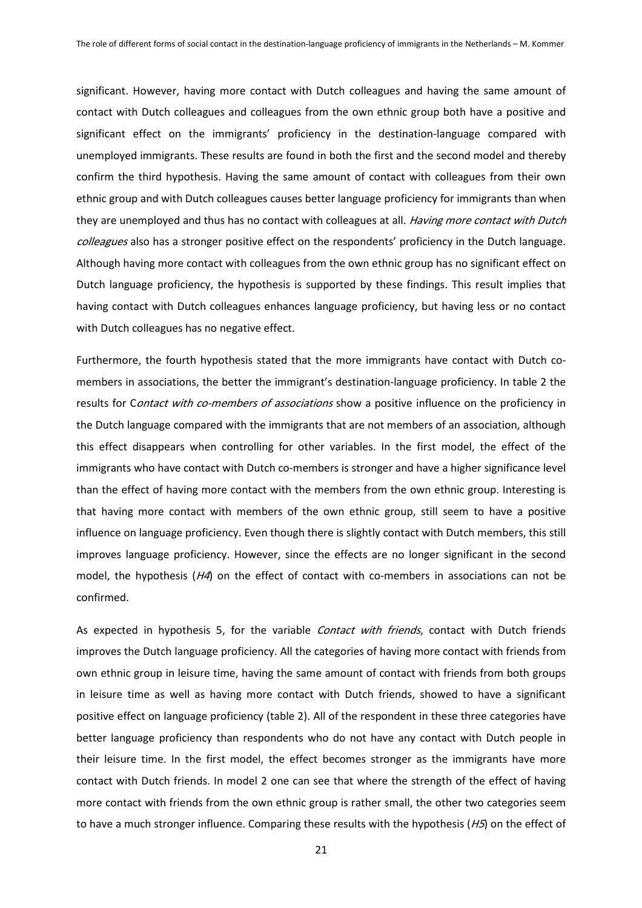significant. However, having more contact with Dutch colleagues and having the same amount of contact with Dutch colleagues and colleagues from the own ethnic group both have a positive and significant effect on the immigrants' proficiency in the destination-language compared with unemployed immigrants. These results are found in both the first and the second model and thereby confirm the third hypothesis. Having the same amount of contact with colleagues from their own ethnic group and with Dutch colleagues causes better language proficiency for immigrants than when they are unemployed and thus has no contact with colleagues at all. *Having more contact with Dutch* colleagues also has a stronger positive effect on the respondents' proficiency in the Dutch language. Although having more contact with colleagues from the own ethnic group has no significant effect on Dutch language proficiency, the hypothesis is supported by these findings. This result implies that having contact with Dutch colleagues enhances language proficiency, but having less or no contact with Dutch colleagues has no negative effect.

Furthermore, the fourth hypothesis stated that the more immigrants have contact with Dutch comembers in associations, the better the immigrant's destination-language proficiency. In table 2 the results for Contact with co-members of associations show a positive influence on the proficiency in the Dutch language compared with the immigrants that are not members of an association, although this effect disappears when controlling for other variables. In the first model, the effect of the immigrants who have contact with Dutch co-members is stronger and have a higher significance level than the effect of having more contact with the members from the own ethnic group. Interesting is that having more contact with members of the own ethnic group, still seem to have a positive influence on language proficiency. Even though there is slightly contact with Dutch members, this still improves language proficiency. However, since the effects are no longer significant in the second model, the hypothesis ( $H4$ ) on the effect of contact with co-members in associations can not be confirmed.

As expected in hypothesis 5, for the variable *Contact with friends*, contact with Dutch friends improves the Dutch language proficiency. All the categories of having more contact with friends from own ethnic group in leisure time, having the same amount of contact with friends from both groups in leisure time as well as having more contact with Dutch friends, showed to have a significant positive effect on language proficiency (table 2). All of the respondent in these three categories have better language proficiency than respondents who do not have any contact with Dutch people in their leisure time. In the first model, the effect becomes stronger as the immigrants have more contact with Dutch friends. In model 2 one can see that where the strength of the effect of having more contact with friends from the own ethnic group is rather small, the other two categories seem to have a much stronger influence. Comparing these results with the hypothesis  $(H5)$  on the effect of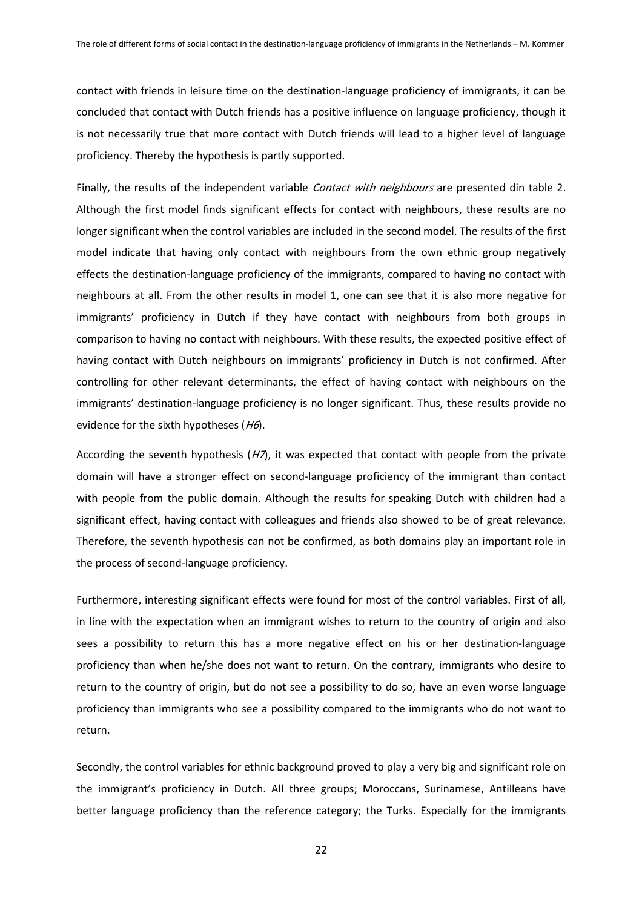contact with friends in leisure time on the destination-language proficiency of immigrants, it can be concluded that contact with Dutch friends has a positive influence on language proficiency, though it is not necessarily true that more contact with Dutch friends will lead to a higher level of language proficiency. Thereby the hypothesis is partly supported.

Finally, the results of the independent variable Contact with neighbours are presented din table 2. Although the first model finds significant effects for contact with neighbours, these results are no longer significant when the control variables are included in the second model. The results of the first model indicate that having only contact with neighbours from the own ethnic group negatively effects the destination-language proficiency of the immigrants, compared to having no contact with neighbours at all. From the other results in model 1, one can see that it is also more negative for immigrants' proficiency in Dutch if they have contact with neighbours from both groups in comparison to having no contact with neighbours. With these results, the expected positive effect of having contact with Dutch neighbours on immigrants' proficiency in Dutch is not confirmed. After controlling for other relevant determinants, the effect of having contact with neighbours on the immigrants' destination-language proficiency is no longer significant. Thus, these results provide no evidence for the sixth hypotheses ( $H6$ ).

According the seventh hypothesis  $(H\lambda)$ , it was expected that contact with people from the private domain will have a stronger effect on second-language proficiency of the immigrant than contact with people from the public domain. Although the results for speaking Dutch with children had a significant effect, having contact with colleagues and friends also showed to be of great relevance. Therefore, the seventh hypothesis can not be confirmed, as both domains play an important role in the process of second-language proficiency.

Furthermore, interesting significant effects were found for most of the control variables. First of all, in line with the expectation when an immigrant wishes to return to the country of origin and also sees a possibility to return this has a more negative effect on his or her destination-language proficiency than when he/she does not want to return. On the contrary, immigrants who desire to return to the country of origin, but do not see a possibility to do so, have an even worse language proficiency than immigrants who see a possibility compared to the immigrants who do not want to return.

Secondly, the control variables for ethnic background proved to play a very big and significant role on the immigrant's proficiency in Dutch. All three groups; Moroccans, Surinamese, Antilleans have better language proficiency than the reference category; the Turks. Especially for the immigrants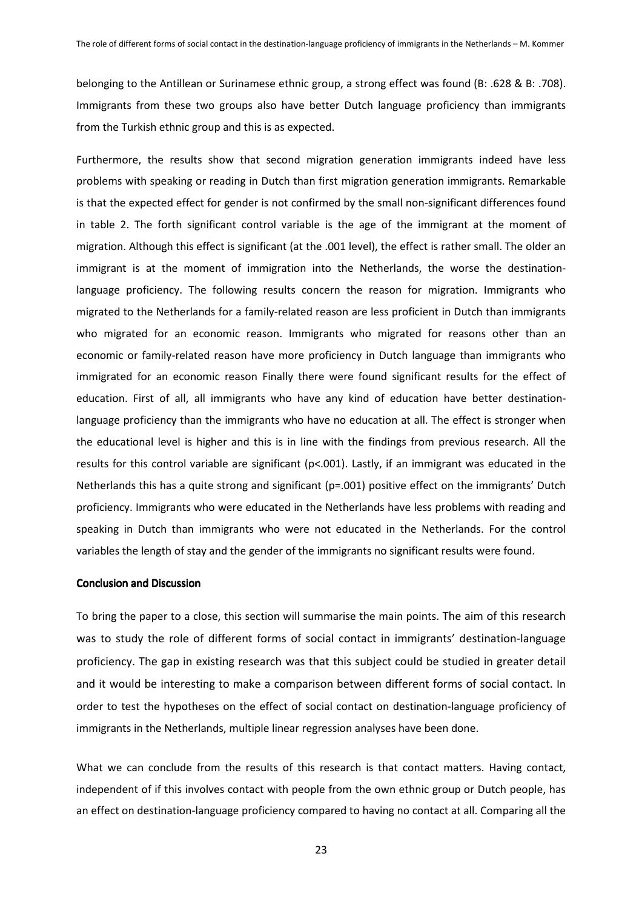belonging to the Antillean or Surinamese ethnic group, a strong effect was found (B: .628 & B: .708). Immigrants from these two groups also have better Dutch language proficiency than immigrants from the Turkish ethnic group and this is as expected.

Furthermore, the results show that second migration generation immigrants indeed have less problems with speaking or reading in Dutch than first migration generation immigrants. Remarkable is that the expected effect for gender is not confirmed by the small non-significant differences found in table 2. The forth significant control variable is the age of the immigrant at the moment of migration. Although this effect is significant (at the .001 level), the effect is rather small.The older an immigrant is at the moment of immigration into the Netherlands, the worse the destinationlanguage proficiency. The following results concern the reason for migration. Immigrants who migrated to the Netherlands for a family-related reason are less proficient in Dutch than immigrants who migrated for an economic reason. Immigrants who migrated for reasons other than an economic or family-related reason have more proficiency in Dutch language than immigrants who immigrated for an economic reason Finally there were found significant results for the effect of education. First of all, all immigrants who have any kind of education have better destinationlanguage proficiency than the immigrants who have no education at all. The effect is stronger when the educational level is higher and this is in line with the findings from previous research. All the results for this control variable are significant (p<.001). Lastly, if an immigrant was educated in the Netherlands this has a quite strong and significant (p=.001) positive effect on the immigrants' Dutch proficiency. Immigrants who were educated in the Netherlands have less problems with reading and speaking in Dutch than immigrants who were not educated in the Netherlands. For the control variables the length of stay and the gender of the immigrants no significant results were found.

## Conclusion and Discussion

To bring the paper to a close, this section will summarise the main points. The aim of this research was to study the role of different forms of social contact in immigrants' destination-language proficiency. The gap in existing research was that this subject could be studied in greater detail and it would be interesting to make a comparison between different forms of social contact. In order to test the hypotheses on the effect of social contact on destination-language proficiency of immigrants in the Netherlands, multiple linear regression analyses have been done.

What we can conclude from the results of this research is that contact matters. Having contact, independent of if this involves contact with people from the own ethnic group or Dutch people, has an effect on destination-language proficiency compared to having no contact at all. Comparing all the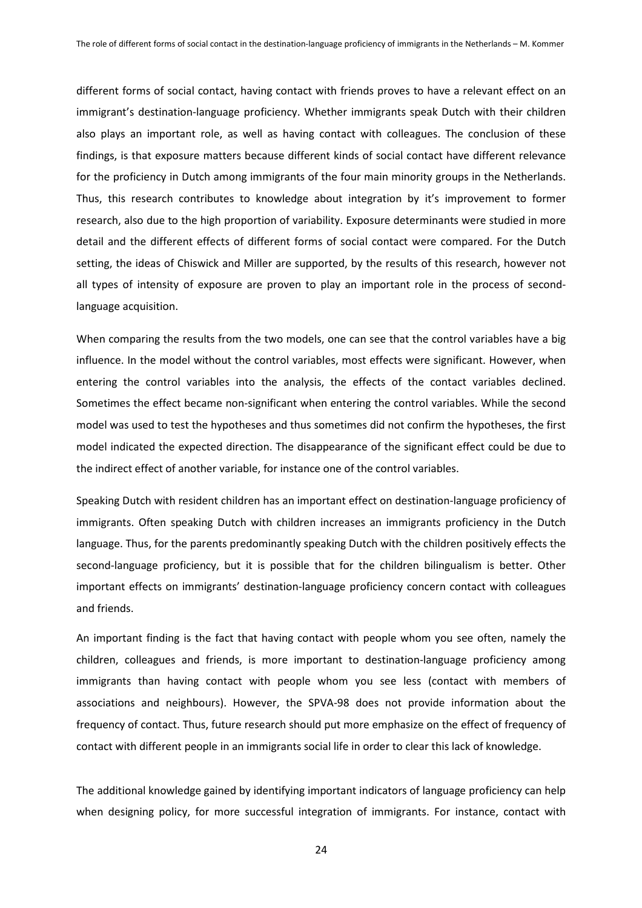different forms of social contact, having contact with friends proves to have a relevant effect on an immigrant's destination-language proficiency. Whether immigrants speak Dutch with their children also plays an important role, as well as having contact with colleagues. The conclusion of these findings, is that exposure matters because different kinds of social contact have different relevance for the proficiency in Dutch among immigrants of the four main minority groups in the Netherlands. Thus, this research contributes to knowledge about integration by it's improvement to former research, also due to the high proportion of variability. Exposure determinants were studied in more detail and the different effects of different forms of social contact were compared. For the Dutch setting, the ideas of Chiswick and Miller are supported, by the results of this research, however not all types of intensity of exposure are proven to play an important role in the process of secondlanguage acquisition.

When comparing the results from the two models, one can see that the control variables have a big influence. In the model without the control variables, most effects were significant. However, when entering the control variables into the analysis, the effects of the contact variables declined. Sometimes the effect became non-significant when entering the control variables. While the second model was used to test the hypotheses and thus sometimes did not confirm the hypotheses, the first model indicated the expected direction. The disappearance of the significant effect could be due to the indirect effect of another variable, for instance one of the control variables.

Speaking Dutch with resident children has an important effect on destination-language proficiency of immigrants. Often speaking Dutch with children increases an immigrants proficiency in the Dutch language. Thus, for the parents predominantly speaking Dutch with the children positively effects the second-language proficiency, but it is possible that for the children bilingualism is better. Other important effects on immigrants' destination-language proficiency concern contact with colleagues and friends.

An important finding is the fact that having contact with people whom you see often, namely the children, colleagues and friends, is more important to destination-language proficiency among immigrants than having contact with people whom you see less (contact with members of associations and neighbours). However, the SPVA-98 does not provide information about the frequency of contact. Thus, future research should put more emphasize on the effect of frequency of contact with different people in an immigrants social life in order to clear this lack of knowledge.

The additional knowledge gained by identifying important indicators of language proficiency can help when designing policy, for more successful integration of immigrants. For instance, contact with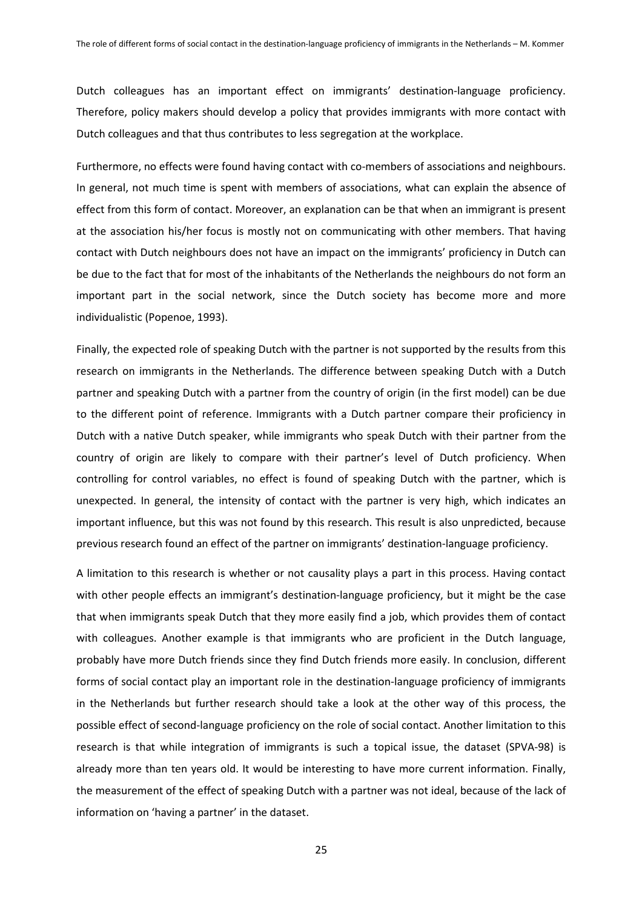Dutch colleagues has an important effect on immigrants' destination-language proficiency. Therefore, policy makers should develop a policy that provides immigrants with more contact with Dutch colleagues and that thus contributes to less segregation at the workplace.

Furthermore, no effects were found having contact with co-members of associations and neighbours. In general, not much time is spent with members of associations, what can explain the absence of effect from this form of contact. Moreover, an explanation can be that when an immigrant is present at the association his/her focus is mostly not on communicating with other members. That having contact with Dutch neighbours does not have an impact on the immigrants' proficiency in Dutch can be due to the fact that for most of the inhabitants of the Netherlands the neighbours do not form an important part in the social network, since the Dutch society has become more and more individualistic (Popenoe, 1993).

Finally, the expected role of speaking Dutch with the partner is not supported by the results from this research on immigrants in the Netherlands. The difference between speaking Dutch with a Dutch partner and speaking Dutch with a partner from the country of origin (in the first model) can be due to the different point of reference. Immigrants with a Dutch partner compare their proficiency in Dutch with a native Dutch speaker, while immigrants who speak Dutch with their partner from the country of origin are likely to compare with their partner's level of Dutch proficiency. When controlling for control variables, no effect is found of speaking Dutch with the partner, which is unexpected. In general, the intensity of contact with the partner is very high, which indicates an important influence, but this was not found by this research. This result is also unpredicted, because previous research found an effect of the partner on immigrants' destination-language proficiency.

A limitation to this research is whether or not causality plays a part in this process. Having contact with other people effects an immigrant's destination-language proficiency, but it might be the case that when immigrants speak Dutch that they more easily find a job, which provides them of contact with colleagues. Another example is that immigrants who are proficient in the Dutch language, probably have more Dutch friends since they find Dutch friends more easily. In conclusion, different forms of social contact play an important role in the destination-language proficiency of immigrants in the Netherlands but further research should take a look at the other way of this process, the possible effect of second-language proficiency on the role of social contact. Another limitation to this research is that while integration of immigrants is such a topical issue, the dataset (SPVA-98) is already more than ten years old. It would be interesting to have more current information. Finally, the measurement of the effect of speaking Dutch with a partner was not ideal, because of the lack of information on 'having a partner' in the dataset.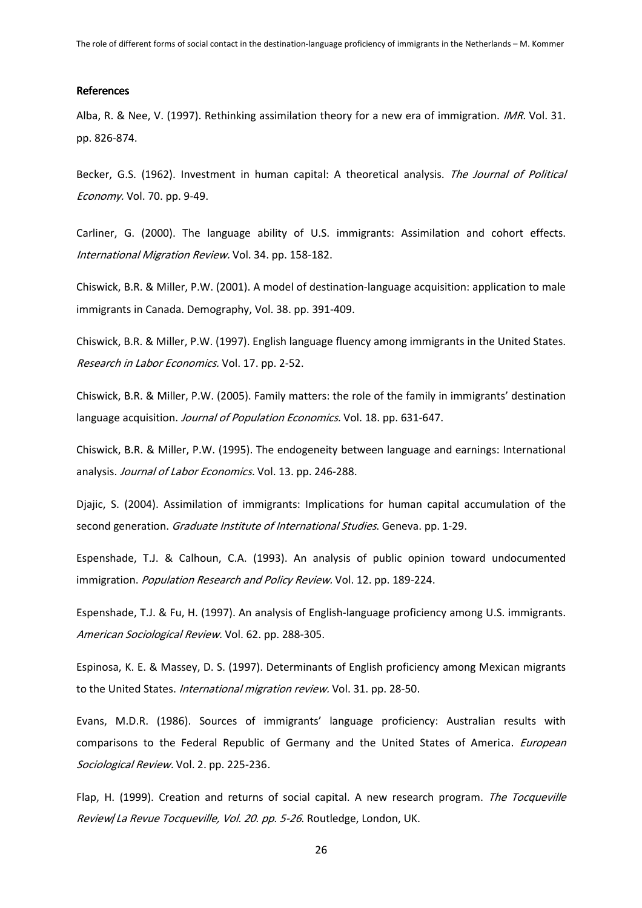#### **References**

Alba, R. & Nee, V. (1997). Rethinking assimilation theory for a new era of immigration. *IMR*. Vol. 31. pp. 826-874.

Becker, G.S. (1962). Investment in human capital: A theoretical analysis. The Journal of Political Economy. Vol. 70. pp. 9-49.

Carliner, G. (2000). The language ability of U.S. immigrants: Assimilation and cohort effects. International Migration Review. Vol. 34. pp. 158-182.

Chiswick, B.R. & Miller, P.W. (2001). A model of destination-language acquisition: application to male immigrants in Canada. Demography, Vol. 38. pp. 391-409.

Chiswick, B.R. & Miller, P.W. (1997). English language fluency among immigrants in the United States. Research in Labor Economics. Vol. 17. pp. 2-52.

Chiswick, B.R. & Miller, P.W. (2005). Family matters: the role of the family in immigrants' destination language acquisition. Journal of Population Economics. Vol. 18. pp. 631-647.

Chiswick, B.R. & Miller, P.W. (1995). The endogeneity between language and earnings: International analysis. Journal of Labor Economics. Vol. 13. pp. 246-288.

Djajic, S. (2004). Assimilation of immigrants: Implications for human capital accumulation of the second generation. *Graduate Institute of International Studies*. Geneva. pp. 1-29.

Espenshade, T.J. & Calhoun, C.A. (1993). An analysis of public opinion toward undocumented immigration. Population Research and Policy Review. Vol. 12. pp. 189-224.

Espenshade, T.J. & Fu, H. (1997). An analysis of English-language proficiency among U.S. immigrants. American Sociological Review. Vol. 62. pp. 288-305.

Espinosa, K. E. & Massey, D. S. (1997). Determinants of English proficiency among Mexican migrants to the United States. International migration review. Vol. 31. pp. 28-50.

Evans, M.D.R. (1986). Sources of immigrants' language proficiency: Australian results with comparisons to the Federal Republic of Germany and the United States of America. European Sociological Review. Vol. 2. pp. 225-236.

Flap, H. (1999). Creation and returns of social capital. A new research program. The Tocqueville Review/La Revue Tocqueville, Vol. 20. pp. 5-26. Routledge, London, UK.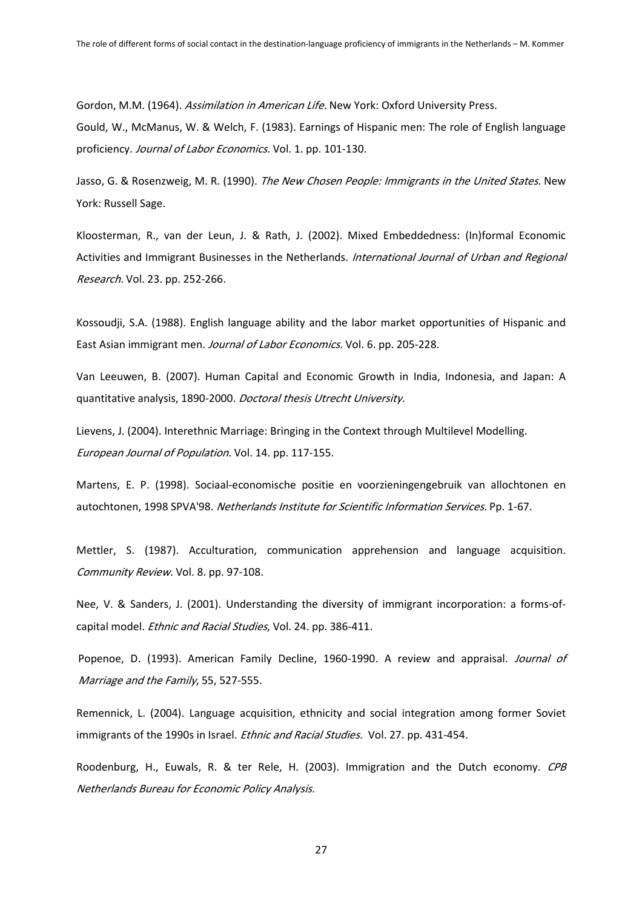Gordon, M.M. (1964). Assimilation in American Life. New York: Oxford University Press. Gould, W., McManus, W. & Welch, F. (1983). Earnings of Hispanic men: The role of English language proficiency. Journal of Labor Economics. Vol. 1. pp. 101-130.

Jasso, G. & Rosenzweig, M. R. (1990). The New Chosen People: Immigrants in the United States. New York: Russell Sage.

Kloosterman, R., van der Leun, J. & Rath, J. (2002). Mixed Embeddedness: (In)formal Economic Activities and Immigrant Businesses in the Netherlands. International Journal of Urban and Regional Research. Vol. 23. pp. 252-266.

Kossoudji, S.A. (1988). English language ability and the labor market opportunities of Hispanic and East Asian immigrant men. Journal of Labor Economics. Vol. 6. pp. 205-228.

Van Leeuwen, B. (2007). Human Capital and Economic Growth in India, Indonesia, and Japan: A quantitative analysis, 1890-2000. Doctoral thesis Utrecht University.

Lievens, J. (2004). Interethnic Marriage: Bringing in the Context through Multilevel Modelling. European Journal of Population. Vol. 14. pp. 117-155.

Martens, E. P. (1998). Sociaal-economische positie en voorzieningengebruik van allochtonen en autochtonen, 1998 SPVA'98. Netherlands Institute for Scientific Information Services. Pp. 1-67.

Mettler, S. (1987). Acculturation, communication apprehension and language acquisition. Community Review. Vol. 8. pp. 97-108.

Nee, V. & Sanders, J. (2001). Understanding the diversity of immigrant incorporation: a forms-ofcapital model. *Ethnic and Racial Studies*, Vol. 24. pp. 386-411.

Popenoe, D. (1993). American Family Decline, 1960-1990. A review and appraisal. Journal of Marriage and the Family, 55, 527-555.

Remennick, L. (2004). Language acquisition, ethnicity and social integration among former Soviet immigrants of the 1990s in Israel. *Ethnic and Racial Studies.* Vol. 27. pp. 431-454.

Roodenburg, H., Euwals, R. & ter Rele, H. (2003). Immigration and the Dutch economy. CPB Netherlands Bureau for Economic Policy Analysis.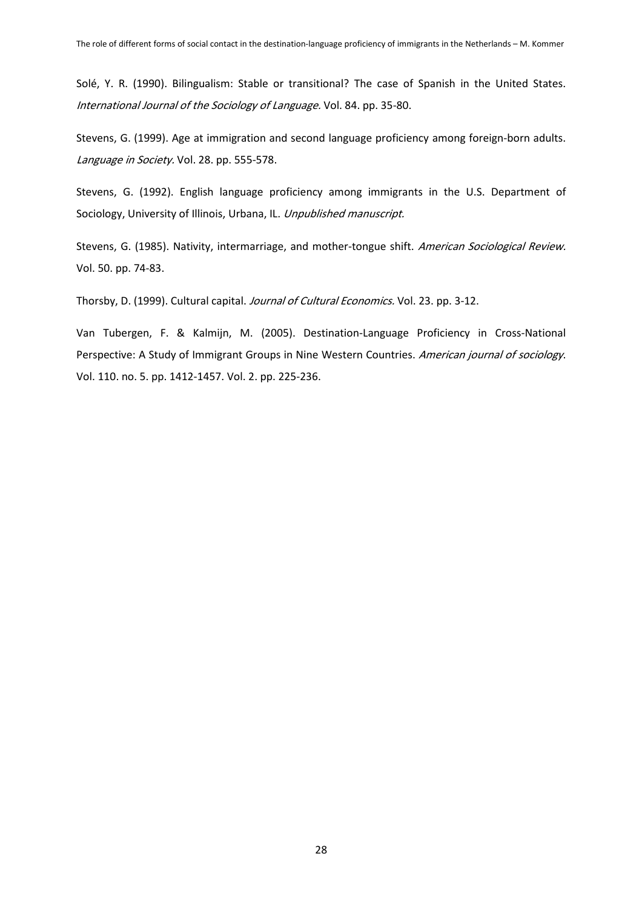Solé, Y. R. (1990). Bilingualism: Stable or transitional? The case of Spanish in the United States. International Journal of the Sociology of Language. Vol. 84. pp. 35-80.

Stevens, G. (1999). Age at immigration and second language proficiency among foreign-born adults. Language in Society. Vol. 28. pp. 555-578.

Stevens, G. (1992). English language proficiency among immigrants in the U.S. Department of Sociology, University of Illinois, Urbana, IL. Unpublished manuscript.

Stevens, G. (1985). Nativity, intermarriage, and mother-tongue shift. American Sociological Review. Vol. 50. pp. 74-83.

Thorsby, D. (1999). Cultural capital. Journal of Cultural Economics. Vol. 23. pp. 3-12.

Van Tubergen, F. & Kalmijn, M. (2005). Destination-Language Proficiency in Cross-National Perspective: A Study of Immigrant Groups in Nine Western Countries. American journal of sociology. Vol. 110. no. 5. pp. 1412-1457. Vol. 2. pp. 225-236.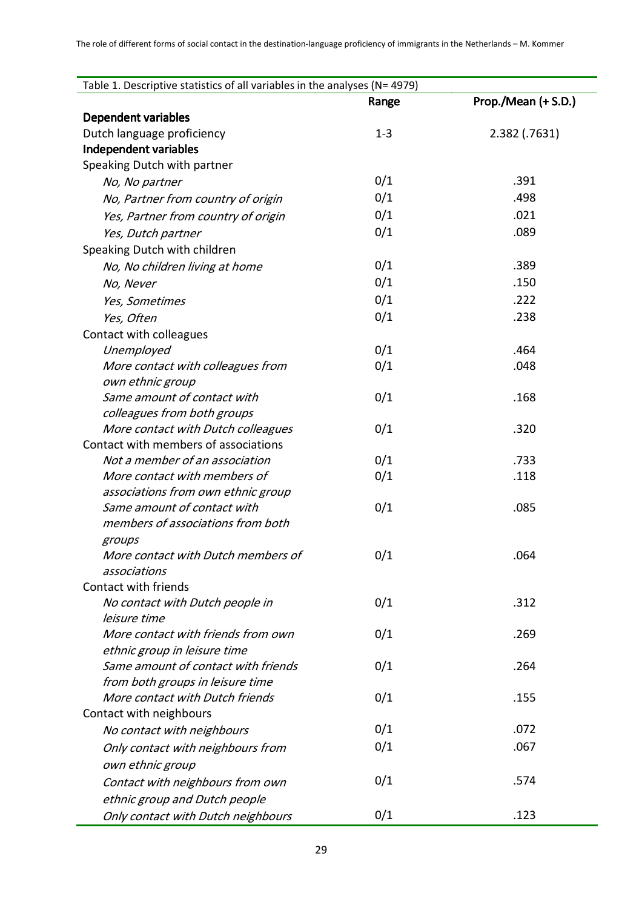| Table 1. Descriptive statistics of all variables in the analyses (N= 4979) |         |                     |  |  |
|----------------------------------------------------------------------------|---------|---------------------|--|--|
|                                                                            | Range   | Prop./Mean (+ S.D.) |  |  |
| <b>Dependent variables</b>                                                 |         |                     |  |  |
| Dutch language proficiency                                                 | $1 - 3$ | 2.382 (.7631)       |  |  |
| Independent variables                                                      |         |                     |  |  |
| Speaking Dutch with partner                                                |         |                     |  |  |
| No, No partner                                                             | 0/1     | .391                |  |  |
| No, Partner from country of origin                                         | 0/1     | .498                |  |  |
| Yes, Partner from country of origin                                        | 0/1     | .021                |  |  |
| Yes, Dutch partner                                                         | 0/1     | .089                |  |  |
| Speaking Dutch with children                                               |         |                     |  |  |
| No, No children living at home                                             | 0/1     | .389                |  |  |
| No, Never                                                                  | 0/1     | .150                |  |  |
| Yes, Sometimes                                                             | 0/1     | .222                |  |  |
| Yes, Often                                                                 | 0/1     | .238                |  |  |
| Contact with colleagues                                                    |         |                     |  |  |
| Unemployed                                                                 | 0/1     | .464                |  |  |
| More contact with colleagues from                                          | 0/1     | .048                |  |  |
| own ethnic group                                                           |         |                     |  |  |
| Same amount of contact with                                                | 0/1     | .168                |  |  |
| colleagues from both groups                                                |         |                     |  |  |
| More contact with Dutch colleagues                                         | 0/1     | .320                |  |  |
| Contact with members of associations                                       |         |                     |  |  |
| Not a member of an association                                             | 0/1     | .733                |  |  |
| More contact with members of                                               | 0/1     | .118                |  |  |
| associations from own ethnic group                                         |         |                     |  |  |
| Same amount of contact with                                                | 0/1     | .085                |  |  |
| members of associations from both                                          |         |                     |  |  |
| groups                                                                     |         |                     |  |  |
| More contact with Dutch members of                                         | 0/1     | .064                |  |  |
| associations<br>Contact with friends                                       |         |                     |  |  |
| No contact with Dutch people in                                            | 0/1     | .312                |  |  |
| leisure time                                                               |         |                     |  |  |
| More contact with friends from own                                         | 0/1     | .269                |  |  |
| ethnic group in leisure time                                               |         |                     |  |  |
| Same amount of contact with friends                                        | 0/1     | .264                |  |  |
| from both groups in leisure time                                           |         |                     |  |  |
| More contact with Dutch friends                                            | 0/1     | .155                |  |  |
| Contact with neighbours                                                    |         |                     |  |  |
| No contact with neighbours                                                 | 0/1     | .072                |  |  |
| Only contact with neighbours from                                          | 0/1     | .067                |  |  |
| own ethnic group                                                           |         |                     |  |  |
| Contact with neighbours from own                                           | 0/1     | .574                |  |  |
| ethnic group and Dutch people                                              |         |                     |  |  |
| Only contact with Dutch neighbours                                         | 0/1     | .123                |  |  |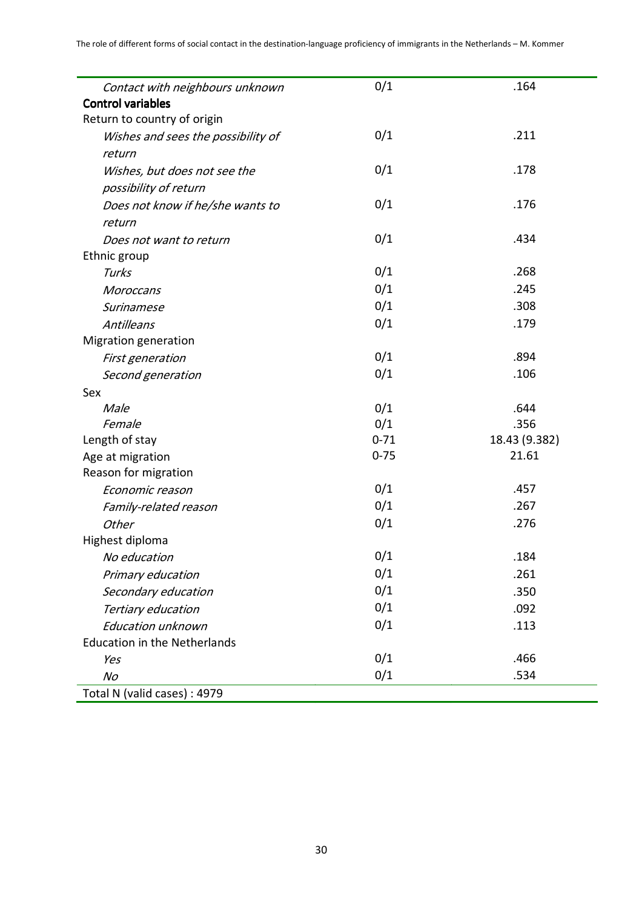| Contact with neighbours unknown     | 0/1      | .164          |  |
|-------------------------------------|----------|---------------|--|
| <b>Control variables</b>            |          |               |  |
| Return to country of origin         |          |               |  |
| Wishes and sees the possibility of  | 0/1      | .211          |  |
| return                              |          |               |  |
| Wishes, but does not see the        | 0/1      | .178          |  |
| possibility of return               |          |               |  |
| Does not know if he/she wants to    | 0/1      | .176          |  |
| return                              |          |               |  |
| Does not want to return             | 0/1      | .434          |  |
| Ethnic group                        |          |               |  |
| Turks                               | 0/1      | .268          |  |
| Moroccans                           | 0/1      | .245          |  |
| Surinamese                          | 0/1      | .308          |  |
| Antilleans                          | 0/1      | .179          |  |
| Migration generation                |          |               |  |
| First generation                    | 0/1      | .894          |  |
| Second generation                   | 0/1      | .106          |  |
| Sex                                 |          |               |  |
| Male                                | 0/1      | .644          |  |
| Female                              | 0/1      | .356          |  |
| Length of stay                      | $0 - 71$ | 18.43 (9.382) |  |
| Age at migration                    | $0 - 75$ | 21.61         |  |
| Reason for migration                |          |               |  |
| Economic reason                     | 0/1      | .457          |  |
| Family-related reason               | 0/1      | .267          |  |
| Other                               | 0/1      | .276          |  |
| Highest diploma                     |          |               |  |
| No education                        | 0/1      | .184          |  |
| Primary education                   | 0/1      | .261          |  |
| Secondary education                 | 0/1      | .350          |  |
| Tertiary education                  | 0/1      | .092          |  |
| Education unknown                   | 0/1      | .113          |  |
| <b>Education in the Netherlands</b> |          |               |  |
| Yes                                 | 0/1      | .466          |  |
| $N_O$                               | 0/1      | .534          |  |
| Total N (valid cases) : 4979        |          |               |  |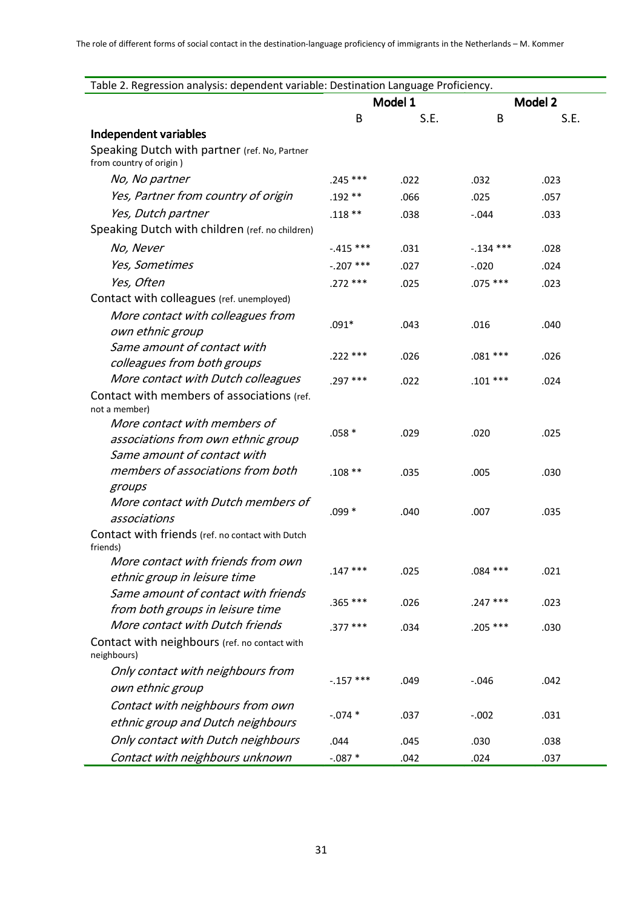L,

| Table 2. Regression analysis: dependent variable: Destination Language Proficiency. |             |      |             |         |
|-------------------------------------------------------------------------------------|-------------|------|-------------|---------|
|                                                                                     | Model 1     |      |             | Model 2 |
|                                                                                     | B           | S.E. | B           | S.E.    |
| Independent variables                                                               |             |      |             |         |
| Speaking Dutch with partner (ref. No, Partner<br>from country of origin)            |             |      |             |         |
| No, No partner                                                                      | $.245***$   | .022 | .032        | .023    |
| Yes, Partner from country of origin                                                 | $.192**$    | .066 | .025        | .057    |
| Yes, Dutch partner                                                                  | $.118**$    | .038 | $-.044$     | .033    |
| Speaking Dutch with children (ref. no children)                                     |             |      |             |         |
| No, Never                                                                           | $-.415$ *** | .031 | $-.134$ *** | .028    |
| Yes, Sometimes                                                                      | $-.207$ *** | .027 | $-.020$     | .024    |
| Yes, Often                                                                          | .272 ***    | .025 | $.075***$   | .023    |
| Contact with colleagues (ref. unemployed)                                           |             |      |             |         |
| More contact with colleagues from                                                   |             |      |             |         |
| own ethnic group                                                                    | $.091*$     | .043 | .016        | .040    |
| Same amount of contact with                                                         | .222 ***    | .026 | $.081***$   |         |
| colleagues from both groups                                                         |             |      |             | .026    |
| More contact with Dutch colleagues                                                  | .297 ***    | .022 | $.101***$   | .024    |
| Contact with members of associations (ref.                                          |             |      |             |         |
| not a member)                                                                       |             |      |             |         |
| More contact with members of<br>associations from own ethnic group                  | $.058*$     | .029 | .020        | .025    |
| Same amount of contact with                                                         |             |      |             |         |
| members of associations from both                                                   | $.108**$    | .035 | .005        | .030    |
| groups                                                                              |             |      |             |         |
| More contact with Dutch members of                                                  |             |      |             |         |
| associations                                                                        | $.099*$     | .040 | .007        | .035    |
| Contact with friends (ref. no contact with Dutch<br>friends)                        |             |      |             |         |
| More contact with friends from own                                                  |             |      |             |         |
| ethnic group in leisure time                                                        | $.147***$   | .025 | $.084$ ***  | .021    |
| Same amount of contact with friends                                                 | .365 ***    | .026 | $.247***$   | .023    |
| from both groups in leisure time                                                    |             |      |             |         |
| More contact with Dutch friends                                                     | $.377***$   | .034 | $.205***$   | .030    |
| Contact with neighbours (ref. no contact with<br>neighbours)                        |             |      |             |         |
| Only contact with neighbours from                                                   | $-.157$ *** | .049 | $-.046$     | .042    |
| own ethnic group                                                                    |             |      |             |         |
| Contact with neighbours from own                                                    |             |      |             |         |
| ethnic group and Dutch neighbours                                                   | $-.074*$    | .037 | $-.002$     | .031    |
| Only contact with Dutch neighbours                                                  | .044        | .045 | .030        | .038    |
| Contact with neighbours unknown                                                     | $-.087*$    | .042 | .024        | .037    |